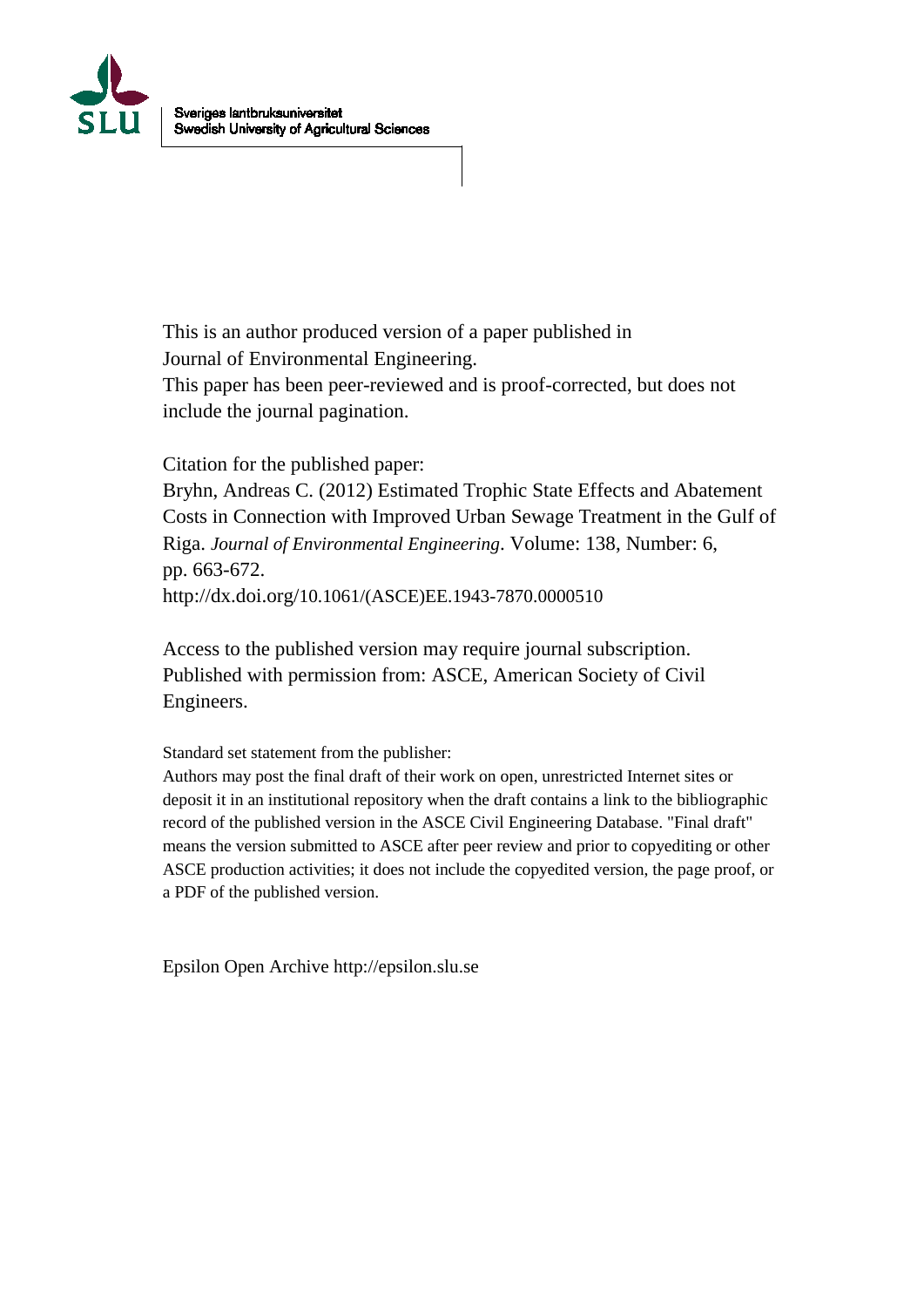

This is an author produced version of a paper published in Journal of Environmental Engineering. This paper has been peer-reviewed and is proof-corrected, but does not include the journal pagination.

Citation for the published paper:

Bryhn, Andreas C. (2012) Estimated Trophic State Effects and Abatement Costs in Connection with Improved Urban Sewage Treatment in the Gulf of Riga. *Journal of Environmental Engineering*. Volume: 138, Number: 6, pp. 663-672. http://dx.doi.org/10.1061/(ASCE)EE.1943-7870.0000510

Access to the published version may require journal subscription. Published with permission from: ASCE, American Society of Civil Engineers.

Standard set statement from the publisher:

Authors may post the final draft of their work on open, unrestricted Internet sites or deposit it in an institutional repository when the draft contains a link to the bibliographic record of the published version in the ASCE Civil Engineering Database. "Final draft" means the version submitted to ASCE after peer review and prior to copyediting or other ASCE production activities; it does not include the copyedited version, the page proof, or a PDF of the published version.

Epsilon Open Archive http://epsilon.slu.se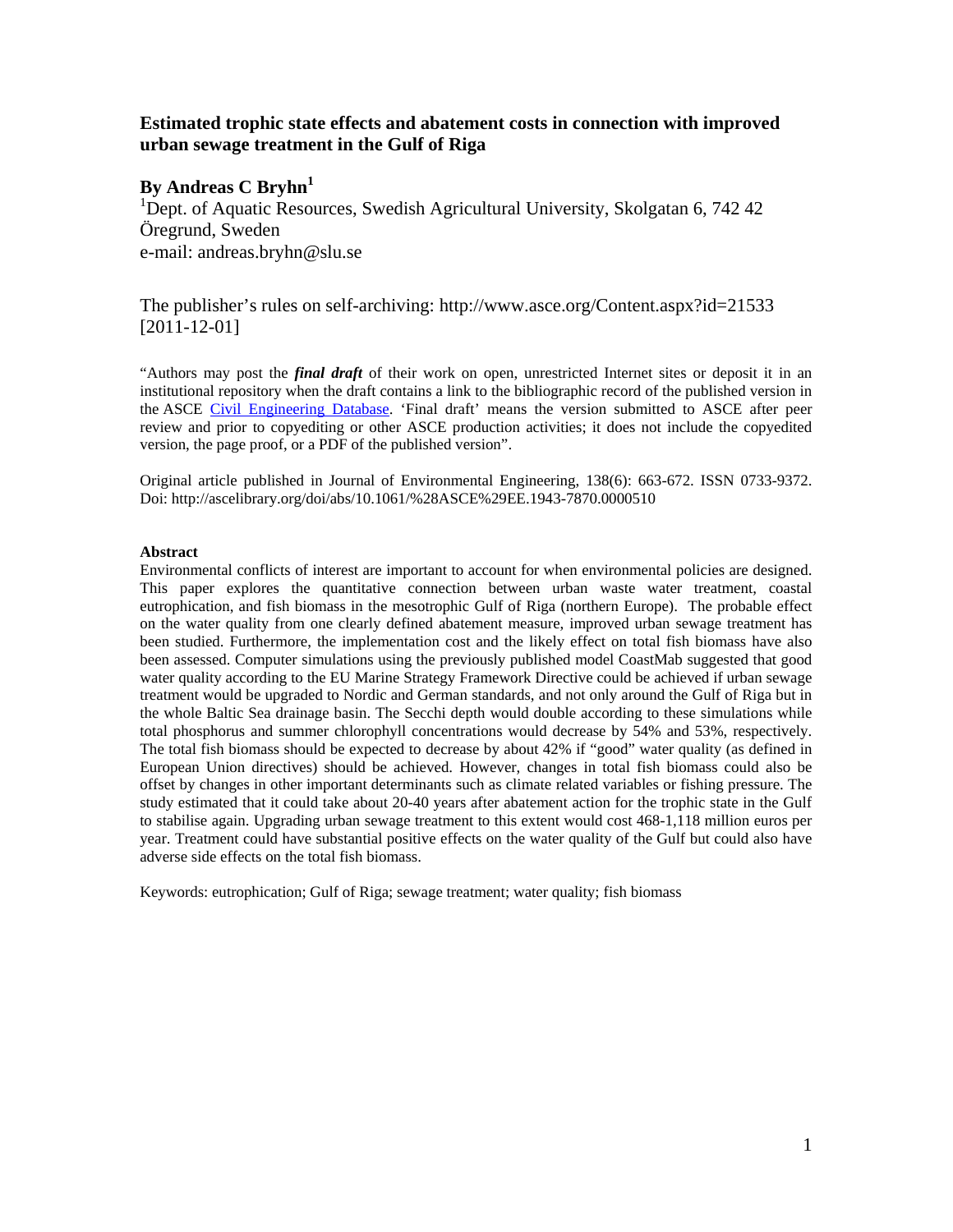# **Estimated trophic state effects and abatement costs in connection with improved urban sewage treatment in the Gulf of Riga**

## **By Andreas C Bryhn**<sup>1</sup>

<sup>1</sup>Dept. of Aquatic Resources, Swedish Agricultural University, Skolgatan 6, 742 42 Öregrund, Sweden e-mail: andreas.bryhn@slu.se

The publisher's rules on self-archiving: http://www.asce.org/Content.aspx?id=21533 [2011-12-01]

"Authors may post the *final draft* of their work on open, unrestricted Internet sites or deposit it in an institutional repository when the draft contains a link to the bibliographic record of the published version in the ASCE [Civil Engineering Database.](http://cedb.asce.org/) 'Final draft' means the version submitted to ASCE after peer review and prior to copyediting or other ASCE production activities; it does not include the copyedited version, the page proof, or a PDF of the published version".

Original article published in Journal of Environmental Engineering, 138(6): 663-672. ISSN 0733-9372. Doi: http://ascelibrary.org/doi/abs/10.1061/%28ASCE%29EE.1943-7870.0000510

#### **Abstract**

Environmental conflicts of interest are important to account for when environmental policies are designed. This paper explores the quantitative connection between urban waste water treatment, coastal eutrophication, and fish biomass in the mesotrophic Gulf of Riga (northern Europe). The probable effect on the water quality from one clearly defined abatement measure, improved urban sewage treatment has been studied. Furthermore, the implementation cost and the likely effect on total fish biomass have also been assessed. Computer simulations using the previously published model CoastMab suggested that good water quality according to the EU Marine Strategy Framework Directive could be achieved if urban sewage treatment would be upgraded to Nordic and German standards, and not only around the Gulf of Riga but in the whole Baltic Sea drainage basin. The Secchi depth would double according to these simulations while total phosphorus and summer chlorophyll concentrations would decrease by 54% and 53%, respectively. The total fish biomass should be expected to decrease by about 42% if "good" water quality (as defined in European Union directives) should be achieved. However, changes in total fish biomass could also be offset by changes in other important determinants such as climate related variables or fishing pressure. The study estimated that it could take about 20-40 years after abatement action for the trophic state in the Gulf to stabilise again. Upgrading urban sewage treatment to this extent would cost 468-1,118 million euros per year. Treatment could have substantial positive effects on the water quality of the Gulf but could also have adverse side effects on the total fish biomass.

Keywords: eutrophication; Gulf of Riga; sewage treatment; water quality; fish biomass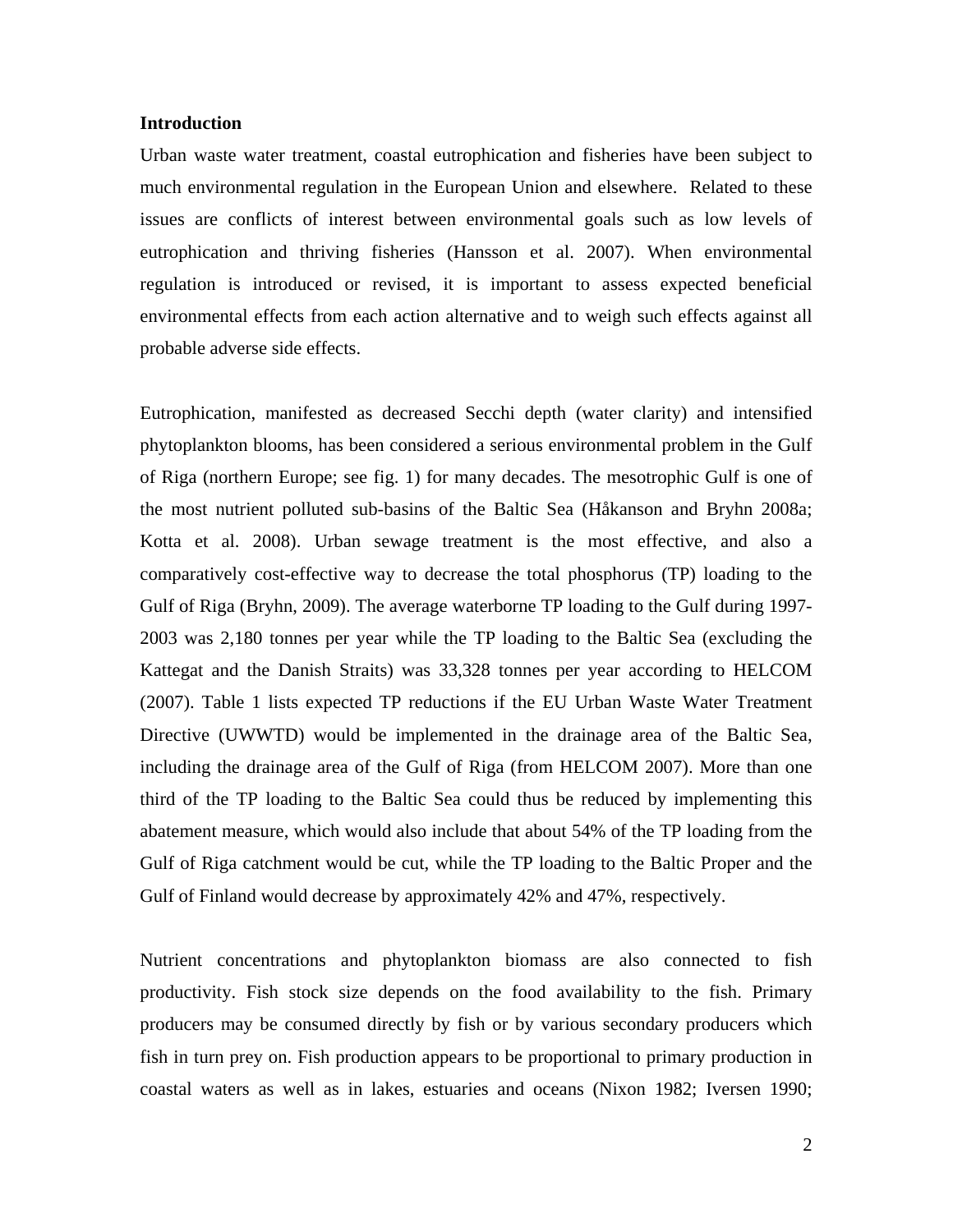## **Introduction**

Urban waste water treatment, coastal eutrophication and fisheries have been subject to much environmental regulation in the European Union and elsewhere. Related to these issues are conflicts of interest between environmental goals such as low levels of eutrophication and thriving fisheries (Hansson et al. 2007). When environmental regulation is introduced or revised, it is important to assess expected beneficial environmental effects from each action alternative and to weigh such effects against all probable adverse side effects.

Eutrophication, manifested as decreased Secchi depth (water clarity) and intensified phytoplankton blooms, has been considered a serious environmental problem in the Gulf of Riga (northern Europe; see fig. 1) for many decades. The mesotrophic Gulf is one of the most nutrient polluted sub-basins of the Baltic Sea (Håkanson and Bryhn 2008a; Kotta et al. 2008). Urban sewage treatment is the most effective, and also a comparatively cost-effective way to decrease the total phosphorus (TP) loading to the Gulf of Riga (Bryhn, 2009). The average waterborne TP loading to the Gulf during 1997- 2003 was 2,180 tonnes per year while the TP loading to the Baltic Sea (excluding the Kattegat and the Danish Straits) was 33,328 tonnes per year according to HELCOM (2007). Table 1 lists expected TP reductions if the EU Urban Waste Water Treatment Directive (UWWTD) would be implemented in the drainage area of the Baltic Sea, including the drainage area of the Gulf of Riga (from HELCOM 2007). More than one third of the TP loading to the Baltic Sea could thus be reduced by implementing this abatement measure, which would also include that about 54% of the TP loading from the Gulf of Riga catchment would be cut, while the TP loading to the Baltic Proper and the Gulf of Finland would decrease by approximately 42% and 47%, respectively.

Nutrient concentrations and phytoplankton biomass are also connected to fish productivity. Fish stock size depends on the food availability to the fish. Primary producers may be consumed directly by fish or by various secondary producers which fish in turn prey on. Fish production appears to be proportional to primary production in coastal waters as well as in lakes, estuaries and oceans (Nixon 1982; Iversen 1990;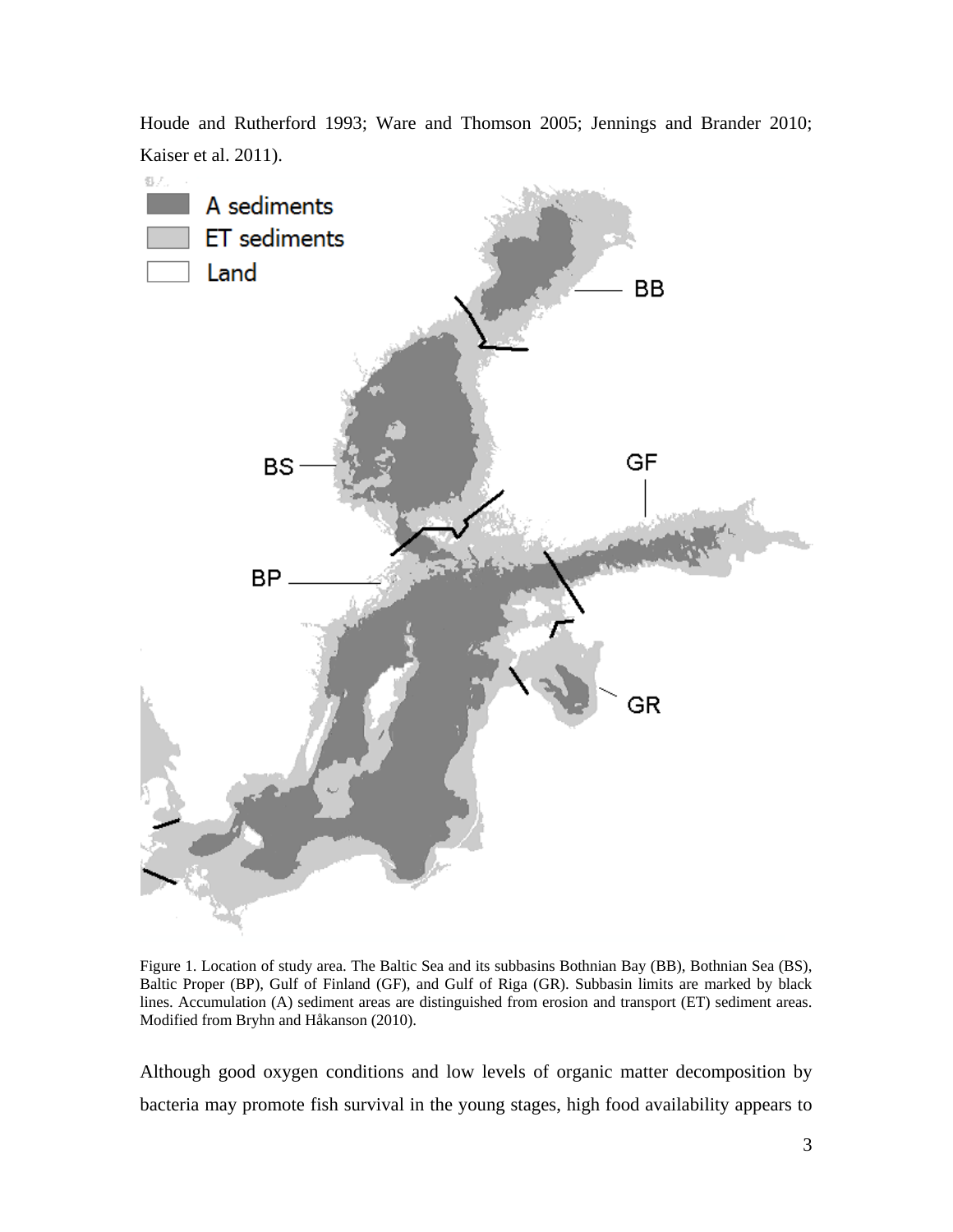

Houde and Rutherford 1993; Ware and Thomson 2005; Jennings and Brander 2010; Kaiser et al. 2011).

Figure 1. Location of study area. The Baltic Sea and its subbasins Bothnian Bay (BB), Bothnian Sea (BS), Baltic Proper (BP), Gulf of Finland (GF), and Gulf of Riga (GR). Subbasin limits are marked by black lines. Accumulation (A) sediment areas are distinguished from erosion and transport (ET) sediment areas. Modified from Bryhn and Håkanson (2010).

Although good oxygen conditions and low levels of organic matter decomposition by bacteria may promote fish survival in the young stages, high food availability appears to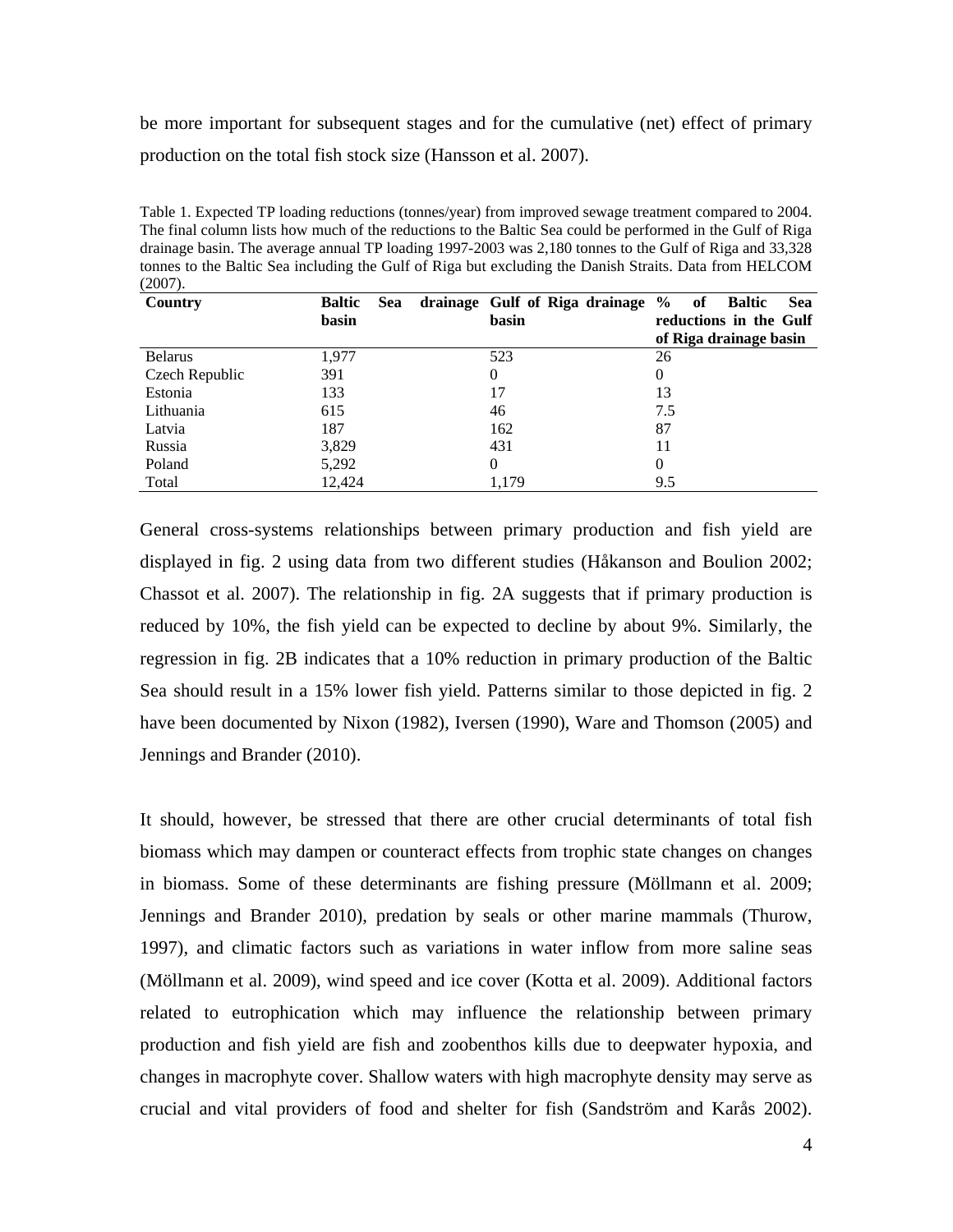be more important for subsequent stages and for the cumulative (net) effect of primary production on the total fish stock size (Hansson et al. 2007).

Table 1. Expected TP loading reductions (tonnes/year) from improved sewage treatment compared to 2004. The final column lists how much of the reductions to the Baltic Sea could be performed in the Gulf of Riga drainage basin. The average annual TP loading 1997-2003 was 2,180 tonnes to the Gulf of Riga and 33,328 tonnes to the Baltic Sea including the Gulf of Riga but excluding the Danish Straits. Data from HELCOM (2007).

| Country        | <b>Sea</b><br><b>Baltic</b> | drainage Gulf of Riga drainage % of | Baltic<br>Sea          |
|----------------|-----------------------------|-------------------------------------|------------------------|
|                | basin                       | basin                               | reductions in the Gulf |
|                |                             |                                     | of Riga drainage basin |
| <b>Belarus</b> | 1.977                       | 523                                 | 26                     |
| Czech Republic | 391                         | 0                                   | 0                      |
| Estonia        | 133                         | 17                                  | 13                     |
| Lithuania      | 615                         | 46                                  | 7.5                    |
| Latvia         | 187                         | 162                                 | 87                     |
| Russia         | 3,829                       | 431                                 | 11                     |
| Poland         | 5,292                       | 0                                   | 0                      |
| Total          | 12.424                      | 1.179                               | 9.5                    |

General cross-systems relationships between primary production and fish yield are displayed in fig. 2 using data from two different studies (Håkanson and Boulion 2002; Chassot et al. 2007). The relationship in fig. 2A suggests that if primary production is reduced by 10%, the fish yield can be expected to decline by about 9%. Similarly, the regression in fig. 2B indicates that a 10% reduction in primary production of the Baltic Sea should result in a 15% lower fish yield. Patterns similar to those depicted in fig. 2 have been documented by Nixon (1982), Iversen (1990), Ware and Thomson (2005) and Jennings and Brander (2010).

It should, however, be stressed that there are other crucial determinants of total fish biomass which may dampen or counteract effects from trophic state changes on changes in biomass. Some of these determinants are fishing pressure (Möllmann et al. 2009; Jennings and Brander 2010), predation by seals or other marine mammals (Thurow, 1997), and climatic factors such as variations in water inflow from more saline seas (Möllmann et al. 2009), wind speed and ice cover (Kotta et al. 2009). Additional factors related to eutrophication which may influence the relationship between primary production and fish yield are fish and zoobenthos kills due to deepwater hypoxia, and changes in macrophyte cover. Shallow waters with high macrophyte density may serve as crucial and vital providers of food and shelter for fish (Sandström and Karås 2002).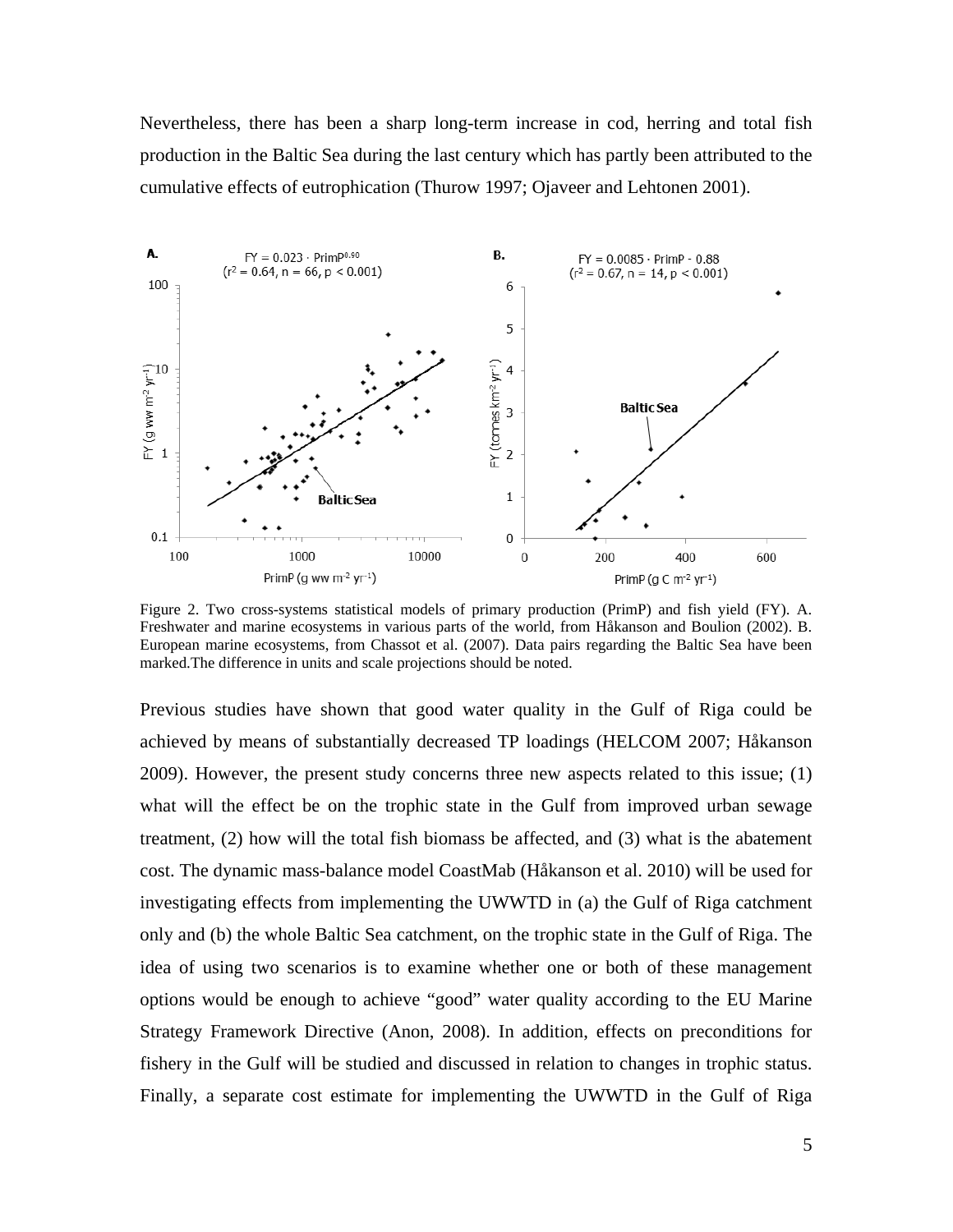Nevertheless, there has been a sharp long-term increase in cod, herring and total fish production in the Baltic Sea during the last century which has partly been attributed to the cumulative effects of eutrophication (Thurow 1997; Ojaveer and Lehtonen 2001).



Figure 2. Two cross-systems statistical models of primary production (PrimP) and fish yield (FY). A. Freshwater and marine ecosystems in various parts of the world, from Håkanson and Boulion (2002). B. European marine ecosystems, from Chassot et al. (2007). Data pairs regarding the Baltic Sea have been marked.The difference in units and scale projections should be noted.

Previous studies have shown that good water quality in the Gulf of Riga could be achieved by means of substantially decreased TP loadings (HELCOM 2007; Håkanson 2009). However, the present study concerns three new aspects related to this issue; (1) what will the effect be on the trophic state in the Gulf from improved urban sewage treatment, (2) how will the total fish biomass be affected, and (3) what is the abatement cost. The dynamic mass-balance model CoastMab (Håkanson et al. 2010) will be used for investigating effects from implementing the UWWTD in (a) the Gulf of Riga catchment only and (b) the whole Baltic Sea catchment, on the trophic state in the Gulf of Riga. The idea of using two scenarios is to examine whether one or both of these management options would be enough to achieve "good" water quality according to the EU Marine Strategy Framework Directive (Anon, 2008). In addition, effects on preconditions for fishery in the Gulf will be studied and discussed in relation to changes in trophic status. Finally, a separate cost estimate for implementing the UWWTD in the Gulf of Riga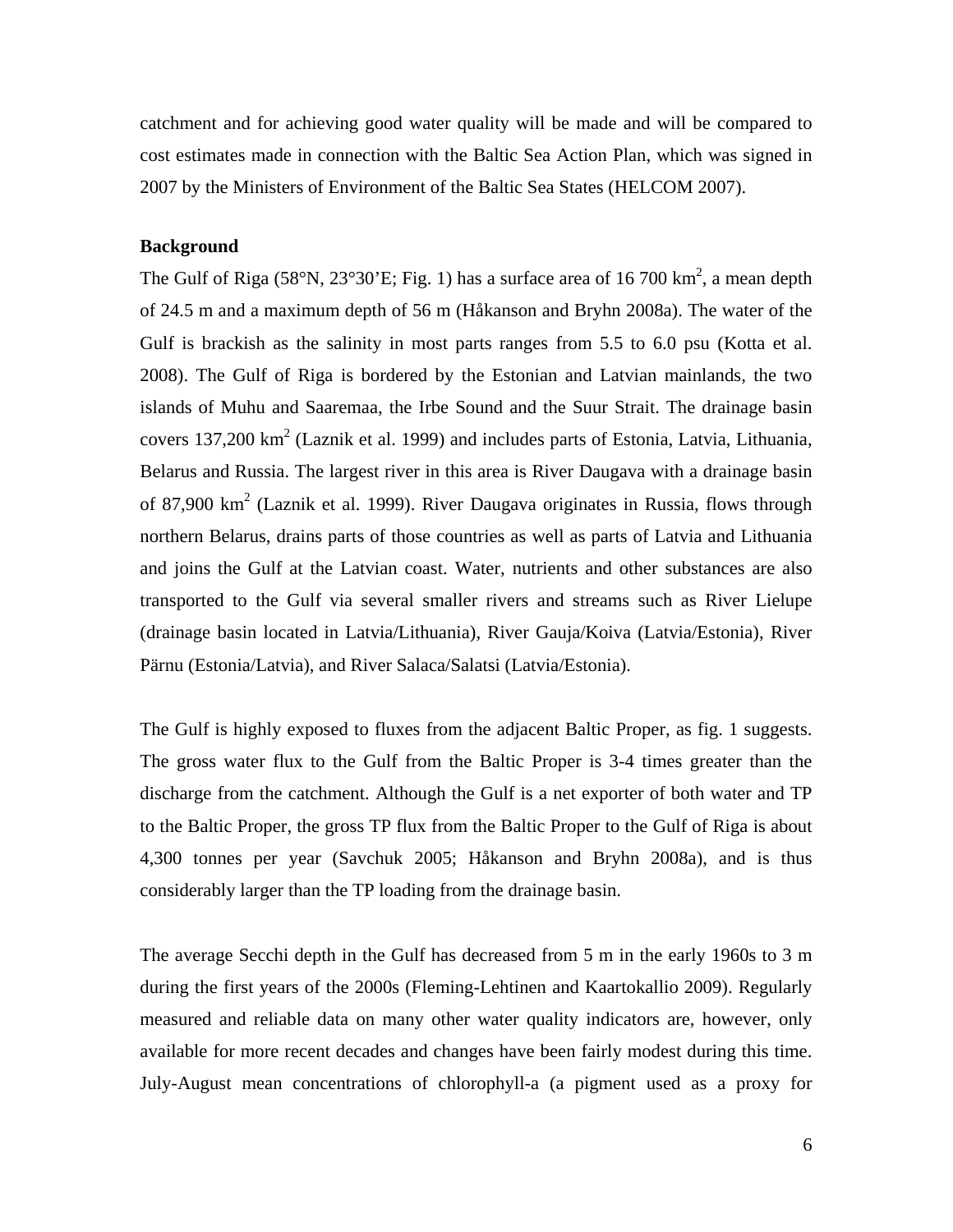catchment and for achieving good water quality will be made and will be compared to cost estimates made in connection with the Baltic Sea Action Plan, which was signed in 2007 by the Ministers of Environment of the Baltic Sea States (HELCOM 2007).

# **Background**

The Gulf of Riga (58°N, 23°30'E; Fig. 1) has a surface area of 16 700 km<sup>2</sup>, a mean depth of 24.5 m and a maximum depth of 56 m (Håkanson and Bryhn 2008a). The water of the Gulf is brackish as the salinity in most parts ranges from 5.5 to 6.0 psu (Kotta et al. 2008). The Gulf of Riga is bordered by the Estonian and Latvian mainlands, the two islands of Muhu and Saaremaa, the Irbe Sound and the Suur Strait. The drainage basin covers 137,200 km<sup>2</sup> (Laznik et al. 1999) and includes parts of Estonia, Latvia, Lithuania, Belarus and Russia. The largest river in this area is River Daugava with a drainage basin of 87,900  $km^2$  (Laznik et al. 1999). River Daugava originates in Russia, flows through northern Belarus, drains parts of those countries as well as parts of Latvia and Lithuania and joins the Gulf at the Latvian coast. Water, nutrients and other substances are also transported to the Gulf via several smaller rivers and streams such as River Lielupe (drainage basin located in Latvia/Lithuania), River Gauja/Koiva (Latvia/Estonia), River Pärnu (Estonia/Latvia), and River Salaca/Salatsi (Latvia/Estonia).

The Gulf is highly exposed to fluxes from the adjacent Baltic Proper, as fig. 1 suggests. The gross water flux to the Gulf from the Baltic Proper is 3-4 times greater than the discharge from the catchment. Although the Gulf is a net exporter of both water and TP to the Baltic Proper, the gross TP flux from the Baltic Proper to the Gulf of Riga is about 4,300 tonnes per year (Savchuk 2005; Håkanson and Bryhn 2008a), and is thus considerably larger than the TP loading from the drainage basin.

The average Secchi depth in the Gulf has decreased from 5 m in the early 1960s to 3 m during the first years of the 2000s (Fleming-Lehtinen and Kaartokallio 2009). Regularly measured and reliable data on many other water quality indicators are, however, only available for more recent decades and changes have been fairly modest during this time. July-August mean concentrations of chlorophyll-a (a pigment used as a proxy for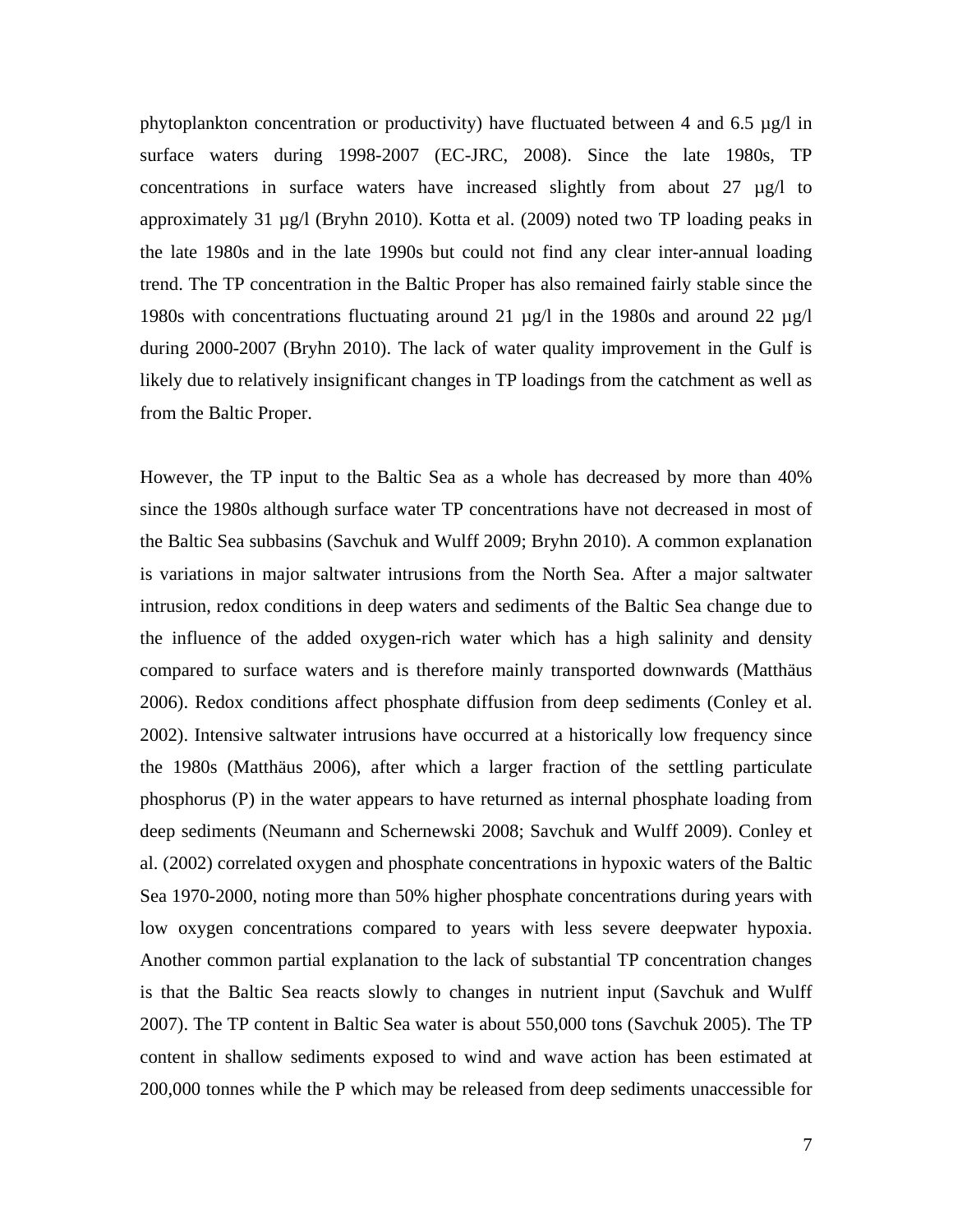phytoplankton concentration or productivity) have fluctuated between 4 and 6.5  $\mu$ g/l in surface waters during 1998-2007 (EC-JRC, 2008). Since the late 1980s, TP concentrations in surface waters have increased slightly from about  $27 \mu g/l$  to approximately 31 µg/l (Bryhn 2010). Kotta et al. (2009) noted two TP loading peaks in the late 1980s and in the late 1990s but could not find any clear inter-annual loading trend. The TP concentration in the Baltic Proper has also remained fairly stable since the 1980s with concentrations fluctuating around 21 µg/l in the 1980s and around 22 µg/l during 2000-2007 (Bryhn 2010). The lack of water quality improvement in the Gulf is likely due to relatively insignificant changes in TP loadings from the catchment as well as from the Baltic Proper.

However, the TP input to the Baltic Sea as a whole has decreased by more than 40% since the 1980s although surface water TP concentrations have not decreased in most of the Baltic Sea subbasins (Savchuk and Wulff 2009; Bryhn 2010). A common explanation is variations in major saltwater intrusions from the North Sea. After a major saltwater intrusion, redox conditions in deep waters and sediments of the Baltic Sea change due to the influence of the added oxygen-rich water which has a high salinity and density compared to surface waters and is therefore mainly transported downwards (Matthäus 2006). Redox conditions affect phosphate diffusion from deep sediments (Conley et al. 2002). Intensive saltwater intrusions have occurred at a historically low frequency since the 1980s (Matthäus 2006), after which a larger fraction of the settling particulate phosphorus (P) in the water appears to have returned as internal phosphate loading from deep sediments (Neumann and Schernewski 2008; Savchuk and Wulff 2009). Conley et al. (2002) correlated oxygen and phosphate concentrations in hypoxic waters of the Baltic Sea 1970-2000, noting more than 50% higher phosphate concentrations during years with low oxygen concentrations compared to years with less severe deepwater hypoxia. Another common partial explanation to the lack of substantial TP concentration changes is that the Baltic Sea reacts slowly to changes in nutrient input (Savchuk and Wulff 2007). The TP content in Baltic Sea water is about 550,000 tons (Savchuk 2005). The TP content in shallow sediments exposed to wind and wave action has been estimated at 200,000 tonnes while the P which may be released from deep sediments unaccessible for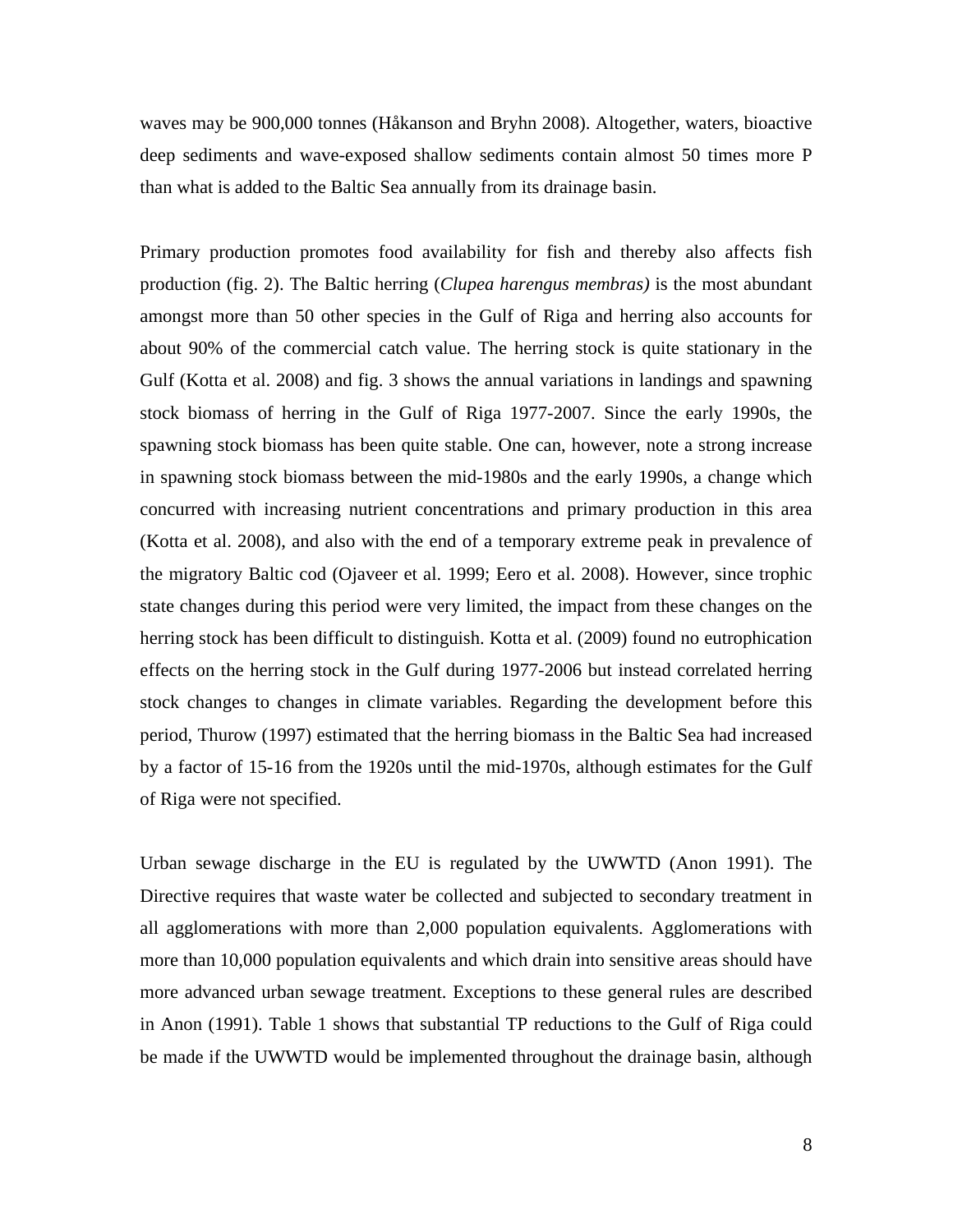waves may be 900,000 tonnes (Håkanson and Bryhn 2008). Altogether, waters, bioactive deep sediments and wave-exposed shallow sediments contain almost 50 times more P than what is added to the Baltic Sea annually from its drainage basin.

Primary production promotes food availability for fish and thereby also affects fish production (fig. 2). The Baltic herring (*Clupea harengus membras)* is the most abundant amongst more than 50 other species in the Gulf of Riga and herring also accounts for about 90% of the commercial catch value. The herring stock is quite stationary in the Gulf (Kotta et al. 2008) and fig. 3 shows the annual variations in landings and spawning stock biomass of herring in the Gulf of Riga 1977-2007. Since the early 1990s, the spawning stock biomass has been quite stable. One can, however, note a strong increase in spawning stock biomass between the mid-1980s and the early 1990s, a change which concurred with increasing nutrient concentrations and primary production in this area (Kotta et al. 2008), and also with the end of a temporary extreme peak in prevalence of the migratory Baltic cod (Ojaveer et al. 1999; Eero et al. 2008). However, since trophic state changes during this period were very limited, the impact from these changes on the herring stock has been difficult to distinguish. Kotta et al. (2009) found no eutrophication effects on the herring stock in the Gulf during 1977-2006 but instead correlated herring stock changes to changes in climate variables. Regarding the development before this period, Thurow (1997) estimated that the herring biomass in the Baltic Sea had increased by a factor of 15-16 from the 1920s until the mid-1970s, although estimates for the Gulf of Riga were not specified.

Urban sewage discharge in the EU is regulated by the UWWTD (Anon 1991). The Directive requires that waste water be collected and subjected to secondary treatment in all agglomerations with more than 2,000 population equivalents. Agglomerations with more than 10,000 population equivalents and which drain into sensitive areas should have more advanced urban sewage treatment. Exceptions to these general rules are described in Anon (1991). Table 1 shows that substantial TP reductions to the Gulf of Riga could be made if the UWWTD would be implemented throughout the drainage basin, although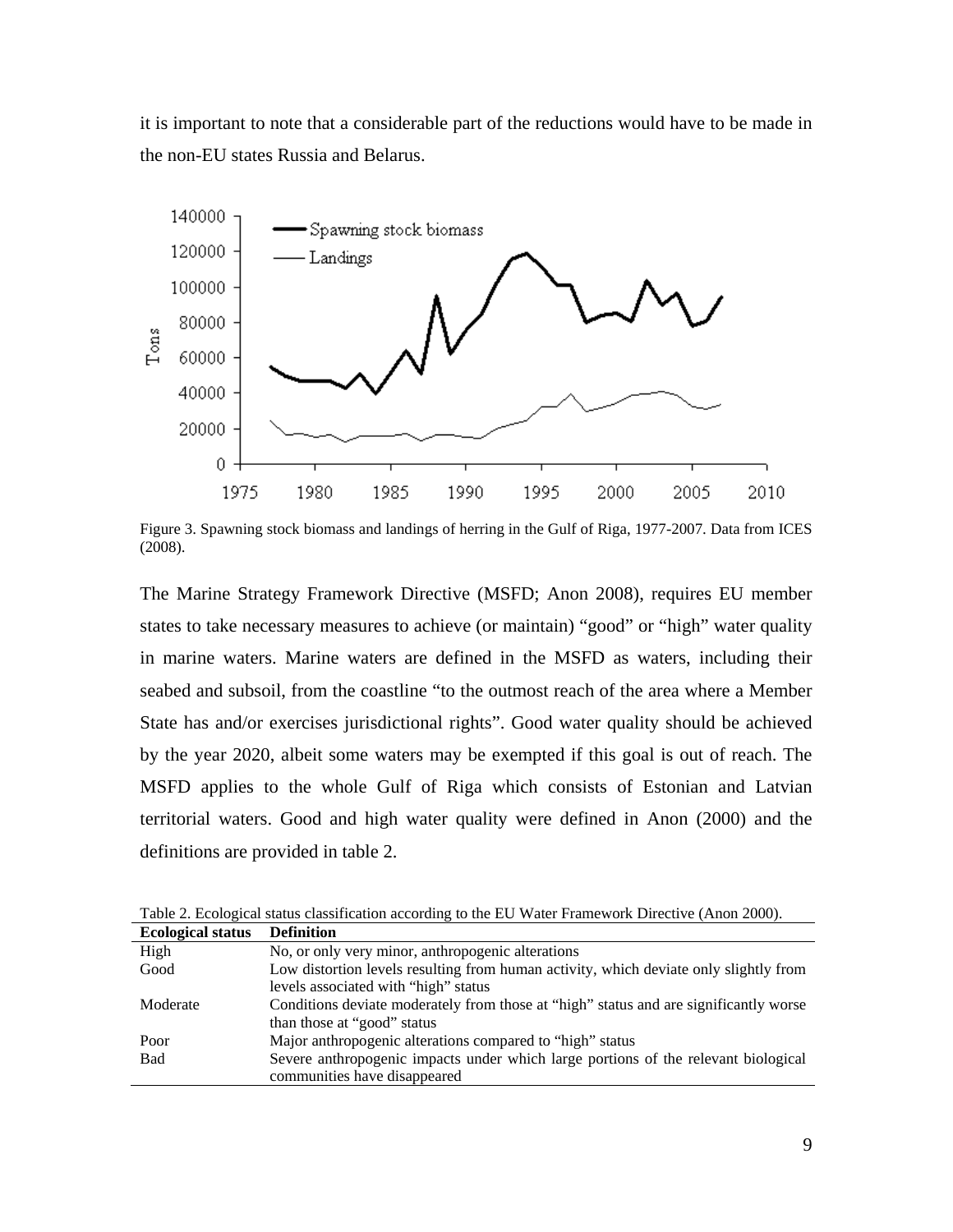it is important to note that a considerable part of the reductions would have to be made in the non-EU states Russia and Belarus.



Figure 3. Spawning stock biomass and landings of herring in the Gulf of Riga, 1977-2007. Data from ICES (2008).

The Marine Strategy Framework Directive (MSFD; Anon 2008), requires EU member states to take necessary measures to achieve (or maintain) "good" or "high" water quality in marine waters. Marine waters are defined in the MSFD as waters, including their seabed and subsoil, from the coastline "to the outmost reach of the area where a Member State has and/or exercises jurisdictional rights". Good water quality should be achieved by the year 2020, albeit some waters may be exempted if this goal is out of reach. The MSFD applies to the whole Gulf of Riga which consists of Estonian and Latvian territorial waters. Good and high water quality were defined in Anon (2000) and the definitions are provided in table 2.

| <b>Ecological status</b> | <b>Definition</b>                                                                     |
|--------------------------|---------------------------------------------------------------------------------------|
| High                     | No, or only very minor, anthropogenic alterations                                     |
| Good                     | Low distortion levels resulting from human activity, which deviate only slightly from |
|                          | levels associated with "high" status                                                  |
| Moderate                 | Conditions deviate moderately from those at "high" status and are significantly worse |
|                          | than those at "good" status                                                           |
| Poor                     | Major anthropogenic alterations compared to "high" status                             |
| <b>Bad</b>               | Severe anthropogenic impacts under which large portions of the relevant biological    |
|                          | communities have disappeared                                                          |

Table 2. Ecological status classification according to the EU Water Framework Directive (Anon 2000).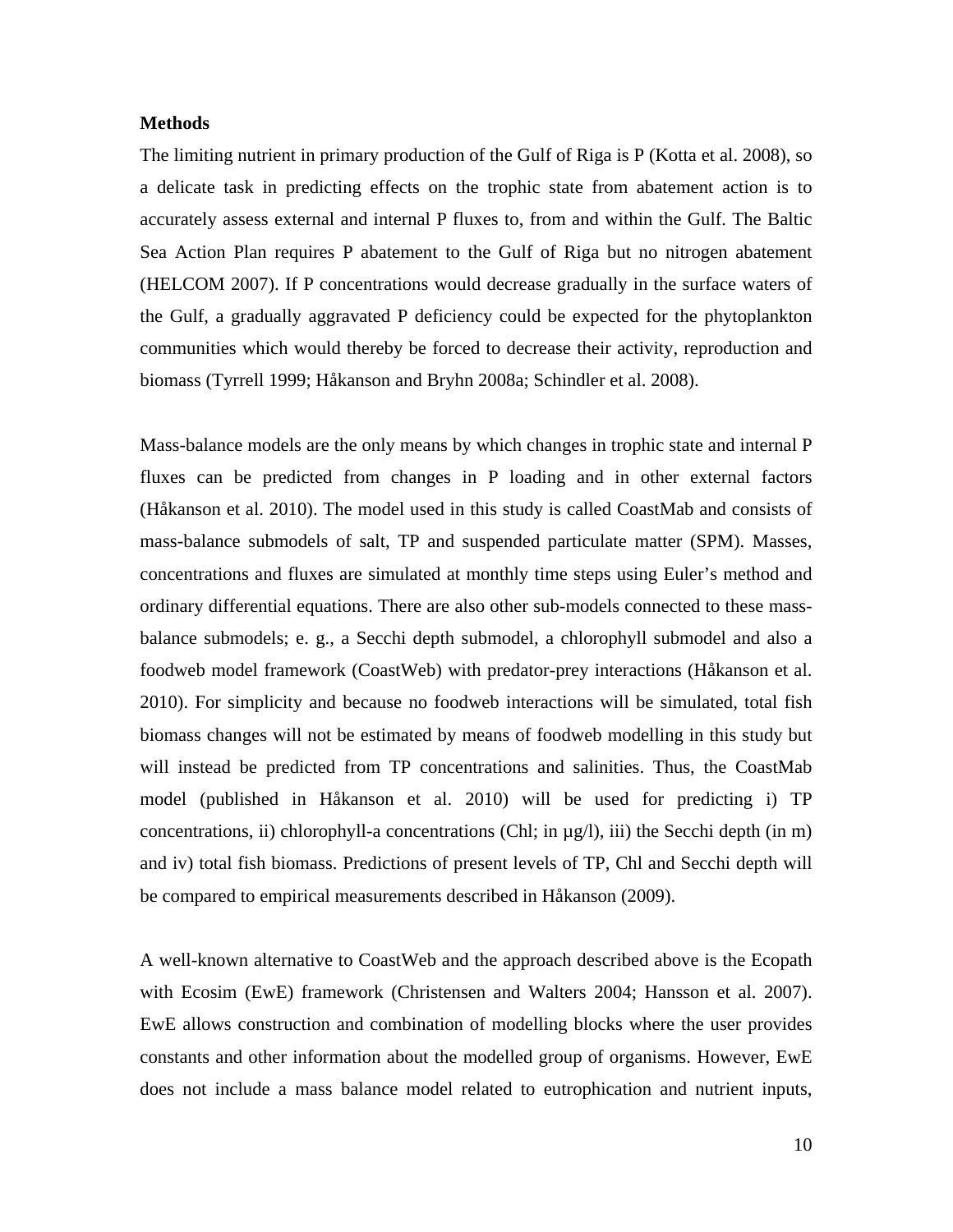### **Methods**

The limiting nutrient in primary production of the Gulf of Riga is P (Kotta et al. 2008), so a delicate task in predicting effects on the trophic state from abatement action is to accurately assess external and internal P fluxes to, from and within the Gulf. The Baltic Sea Action Plan requires P abatement to the Gulf of Riga but no nitrogen abatement (HELCOM 2007). If P concentrations would decrease gradually in the surface waters of the Gulf, a gradually aggravated P deficiency could be expected for the phytoplankton communities which would thereby be forced to decrease their activity, reproduction and biomass (Tyrrell 1999; Håkanson and Bryhn 2008a; Schindler et al. 2008).

Mass-balance models are the only means by which changes in trophic state and internal P fluxes can be predicted from changes in P loading and in other external factors (Håkanson et al. 2010). The model used in this study is called CoastMab and consists of mass-balance submodels of salt, TP and suspended particulate matter (SPM). Masses, concentrations and fluxes are simulated at monthly time steps using Euler's method and ordinary differential equations. There are also other sub-models connected to these massbalance submodels; e. g., a Secchi depth submodel, a chlorophyll submodel and also a foodweb model framework (CoastWeb) with predator-prey interactions (Håkanson et al. 2010). For simplicity and because no foodweb interactions will be simulated, total fish biomass changes will not be estimated by means of foodweb modelling in this study but will instead be predicted from TP concentrations and salinities. Thus, the CoastMab model (published in Håkanson et al. 2010) will be used for predicting i) TP concentrations, ii) chlorophyll-a concentrations (Chl; in µg/l), iii) the Secchi depth (in m) and iv) total fish biomass. Predictions of present levels of TP, Chl and Secchi depth will be compared to empirical measurements described in Håkanson (2009).

A well-known alternative to CoastWeb and the approach described above is the Ecopath with Ecosim (EwE) framework (Christensen and Walters 2004; Hansson et al. 2007). EwE allows construction and combination of modelling blocks where the user provides constants and other information about the modelled group of organisms. However, EwE does not include a mass balance model related to eutrophication and nutrient inputs,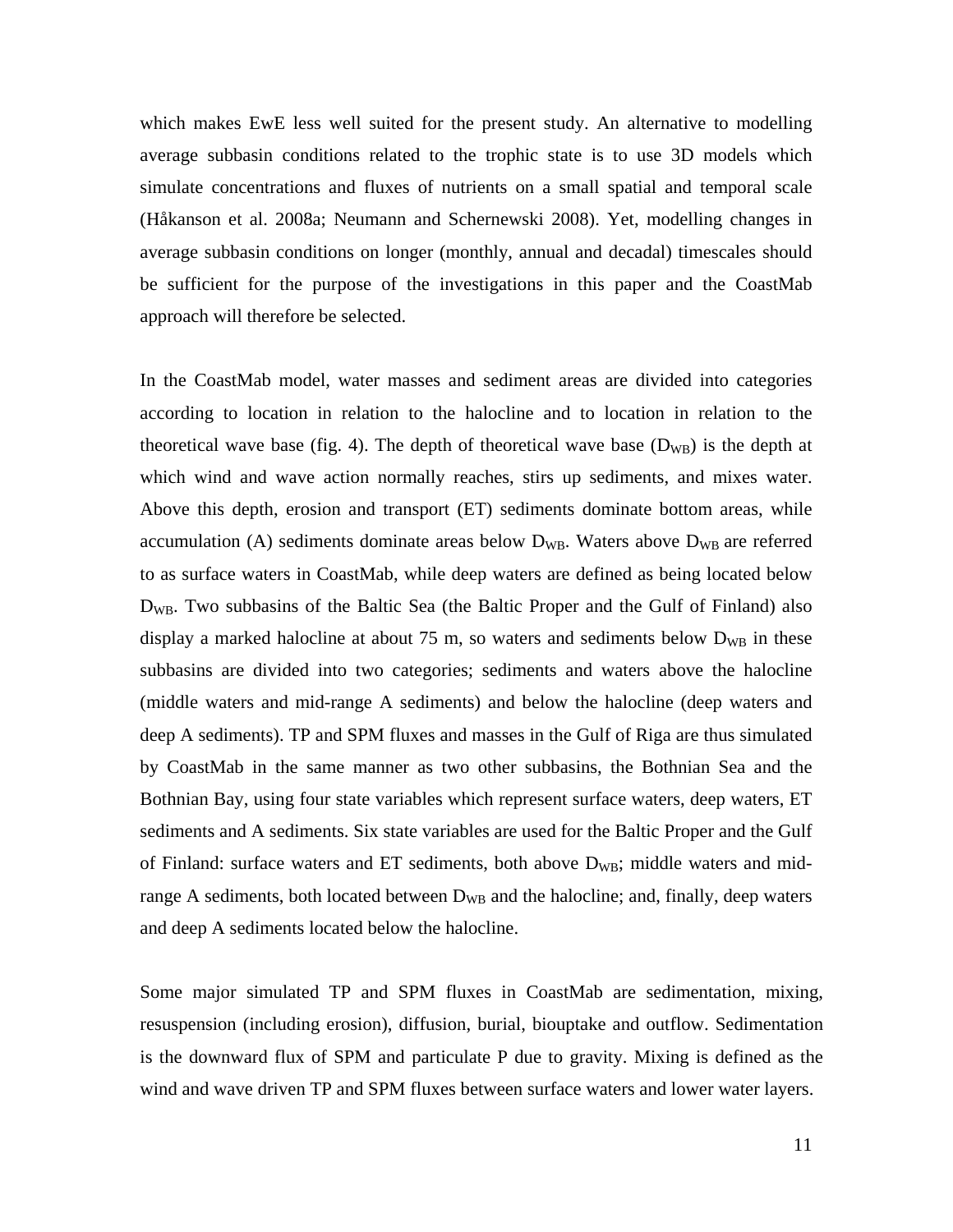which makes EwE less well suited for the present study. An alternative to modelling average subbasin conditions related to the trophic state is to use 3D models which simulate concentrations and fluxes of nutrients on a small spatial and temporal scale (Håkanson et al. 2008a; Neumann and Schernewski 2008). Yet, modelling changes in average subbasin conditions on longer (monthly, annual and decadal) timescales should be sufficient for the purpose of the investigations in this paper and the CoastMab approach will therefore be selected.

In the CoastMab model, water masses and sediment areas are divided into categories according to location in relation to the halocline and to location in relation to the theoretical wave base (fig. 4). The depth of theoretical wave base  $(D_{WB})$  is the depth at which wind and wave action normally reaches, stirs up sediments, and mixes water. Above this depth, erosion and transport (ET) sediments dominate bottom areas, while accumulation (A) sediments dominate areas below  $D_{WB}$ . Waters above  $D_{WB}$  are referred to as surface waters in CoastMab, while deep waters are defined as being located below D<sub>WB</sub>. Two subbasins of the Baltic Sea (the Baltic Proper and the Gulf of Finland) also display a marked halocline at about 75 m, so waters and sediments below  $D_{WB}$  in these subbasins are divided into two categories; sediments and waters above the halocline (middle waters and mid-range A sediments) and below the halocline (deep waters and deep A sediments). TP and SPM fluxes and masses in the Gulf of Riga are thus simulated by CoastMab in the same manner as two other subbasins, the Bothnian Sea and the Bothnian Bay, using four state variables which represent surface waters, deep waters, ET sediments and A sediments. Six state variables are used for the Baltic Proper and the Gulf of Finland: surface waters and ET sediments, both above  $D_{WB}$ ; middle waters and midrange A sediments, both located between  $D_{WB}$  and the halocline; and, finally, deep waters and deep A sediments located below the halocline.

Some major simulated TP and SPM fluxes in CoastMab are sedimentation, mixing, resuspension (including erosion), diffusion, burial, biouptake and outflow. Sedimentation is the downward flux of SPM and particulate P due to gravity. Mixing is defined as the wind and wave driven TP and SPM fluxes between surface waters and lower water layers.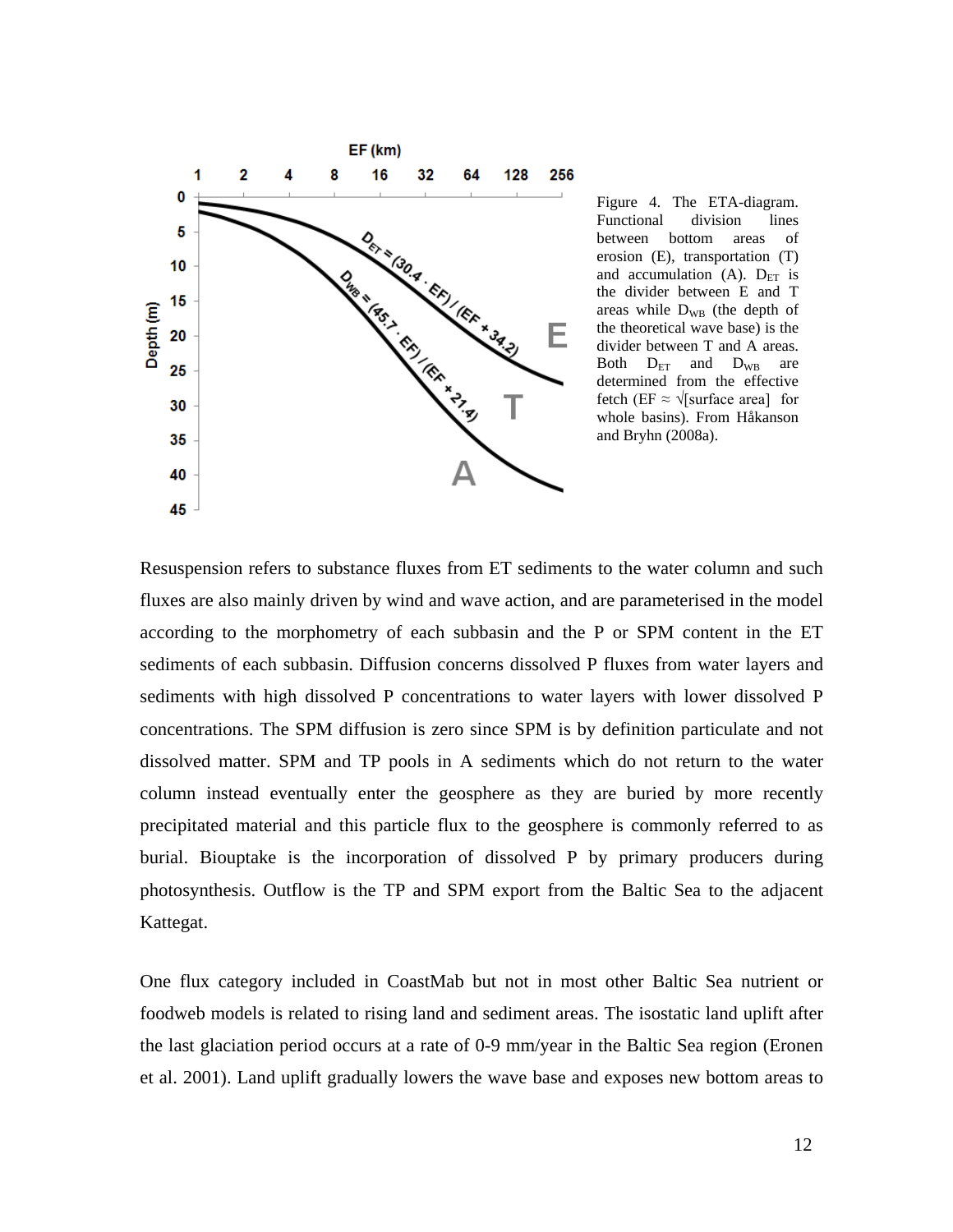

Figure 4. The ETA-diagram. Functional division lines between bottom areas of erosion (E), transportation (T) and accumulation (A).  $D_{ET}$  is the divider between E and T areas while  $D_{WB}$  (the depth of the theoretical wave base) is the divider between T and A areas. Both  $D_{ET}$  and  $D_{WB}$  are determined from the effective fetch (EF  $\approx \sqrt{\text{surface area}}$  for whole basins). From Håkanson and Bryhn (2008a).

Resuspension refers to substance fluxes from ET sediments to the water column and such fluxes are also mainly driven by wind and wave action, and are parameterised in the model according to the morphometry of each subbasin and the P or SPM content in the ET sediments of each subbasin. Diffusion concerns dissolved P fluxes from water layers and sediments with high dissolved P concentrations to water layers with lower dissolved P concentrations. The SPM diffusion is zero since SPM is by definition particulate and not dissolved matter. SPM and TP pools in A sediments which do not return to the water column instead eventually enter the geosphere as they are buried by more recently precipitated material and this particle flux to the geosphere is commonly referred to as burial. Biouptake is the incorporation of dissolved P by primary producers during photosynthesis. Outflow is the TP and SPM export from the Baltic Sea to the adjacent Kattegat.

One flux category included in CoastMab but not in most other Baltic Sea nutrient or foodweb models is related to rising land and sediment areas. The isostatic land uplift after the last glaciation period occurs at a rate of 0-9 mm/year in the Baltic Sea region (Eronen et al. 2001). Land uplift gradually lowers the wave base and exposes new bottom areas to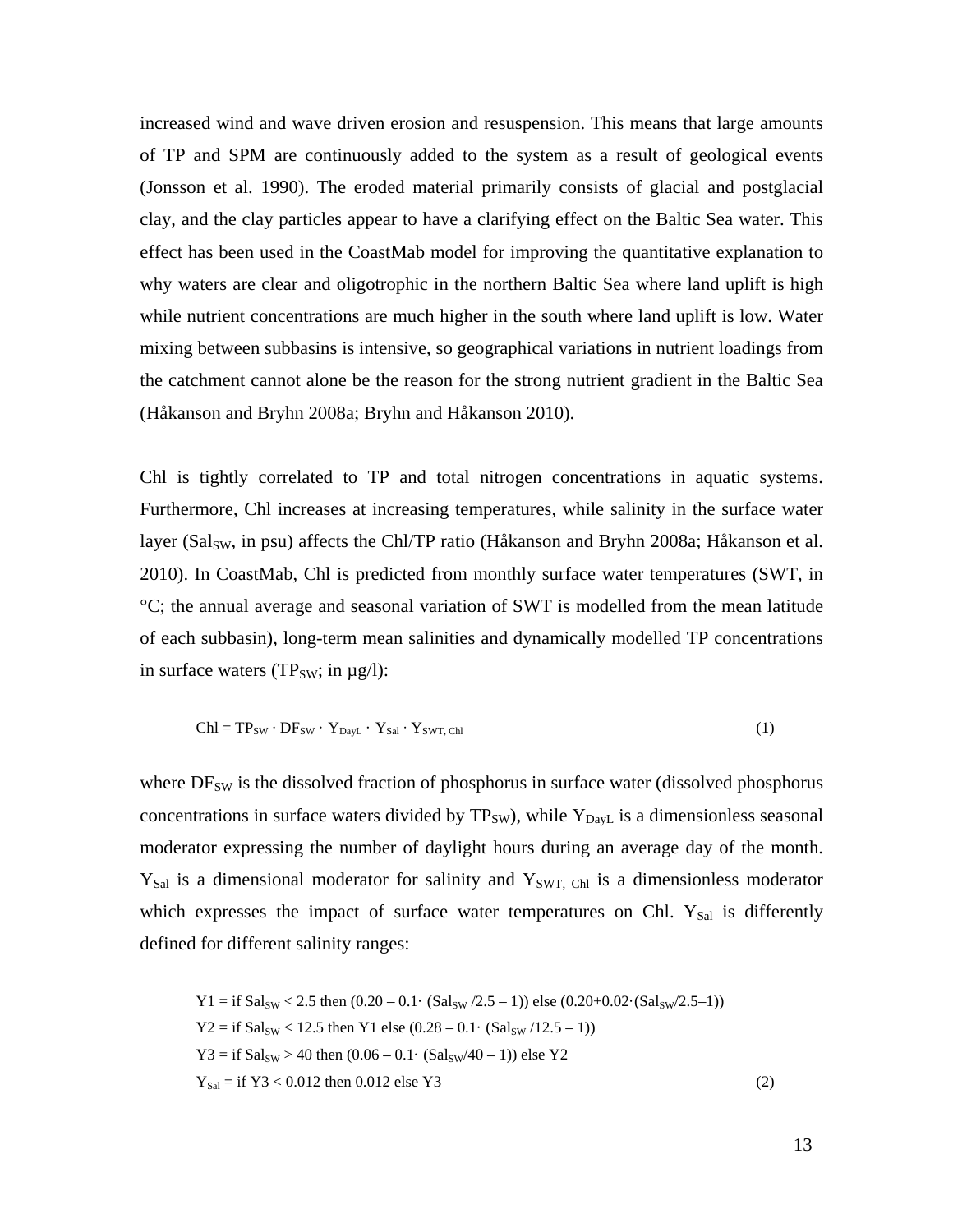increased wind and wave driven erosion and resuspension. This means that large amounts of TP and SPM are continuously added to the system as a result of geological events (Jonsson et al. 1990). The eroded material primarily consists of glacial and postglacial clay, and the clay particles appear to have a clarifying effect on the Baltic Sea water. This effect has been used in the CoastMab model for improving the quantitative explanation to why waters are clear and oligotrophic in the northern Baltic Sea where land uplift is high while nutrient concentrations are much higher in the south where land uplift is low. Water mixing between subbasins is intensive, so geographical variations in nutrient loadings from the catchment cannot alone be the reason for the strong nutrient gradient in the Baltic Sea (Håkanson and Bryhn 2008a; Bryhn and Håkanson 2010).

Chl is tightly correlated to TP and total nitrogen concentrations in aquatic systems. Furthermore, Chl increases at increasing temperatures, while salinity in the surface water layer (Sal<sub>SW</sub>, in psu) affects the Chl/TP ratio (Håkanson and Bryhn 2008a; Håkanson et al. 2010). In CoastMab, Chl is predicted from monthly surface water temperatures (SWT, in °C; the annual average and seasonal variation of SWT is modelled from the mean latitude of each subbasin), long-term mean salinities and dynamically modelled TP concentrations in surface waters (TP<sub>SW</sub>; in  $\mu$ g/l):

$$
Chl = TP_{SW} \cdot DF_{SW} \cdot Y_{DayL} \cdot Y_{Sal} \cdot Y_{SWT, Chl}
$$
\n(1)

where  $DF_{SW}$  is the dissolved fraction of phosphorus in surface water (dissolved phosphorus concentrations in surface waters divided by  $TP_{SW}$ , while  $Y_{Day}$  is a dimensionless seasonal moderator expressing the number of daylight hours during an average day of the month.  $Y_{\text{Sal}}$  is a dimensional moderator for salinity and  $Y_{\text{SWT}}$ , Chl is a dimensionless moderator which expresses the impact of surface water temperatures on Chl. Y<sub>Sal</sub> is differently defined for different salinity ranges:

$$
Y1 = \text{if } Sal_{SW} < 2.5 \text{ then } (0.20 - 0.1 \cdot (Sal_{SW}/2.5 - 1)) \text{ else } (0.20 + 0.02 \cdot (Sal_{SW}/2.5 - 1))
$$
\n
$$
Y2 = \text{if } Sal_{SW} < 12.5 \text{ then } Y1 \text{ else } (0.28 - 0.1 \cdot (Sal_{SW}/12.5 - 1))
$$
\n
$$
Y3 = \text{if } Sal_{SW} > 40 \text{ then } (0.06 - 0.1 \cdot (Sal_{SW}/40 - 1)) \text{ else } Y2
$$
\n
$$
Y_{\text{Sal}} = \text{if } Y3 < 0.012 \text{ then } 0.012 \text{ else } Y3
$$
\n
$$
(2)
$$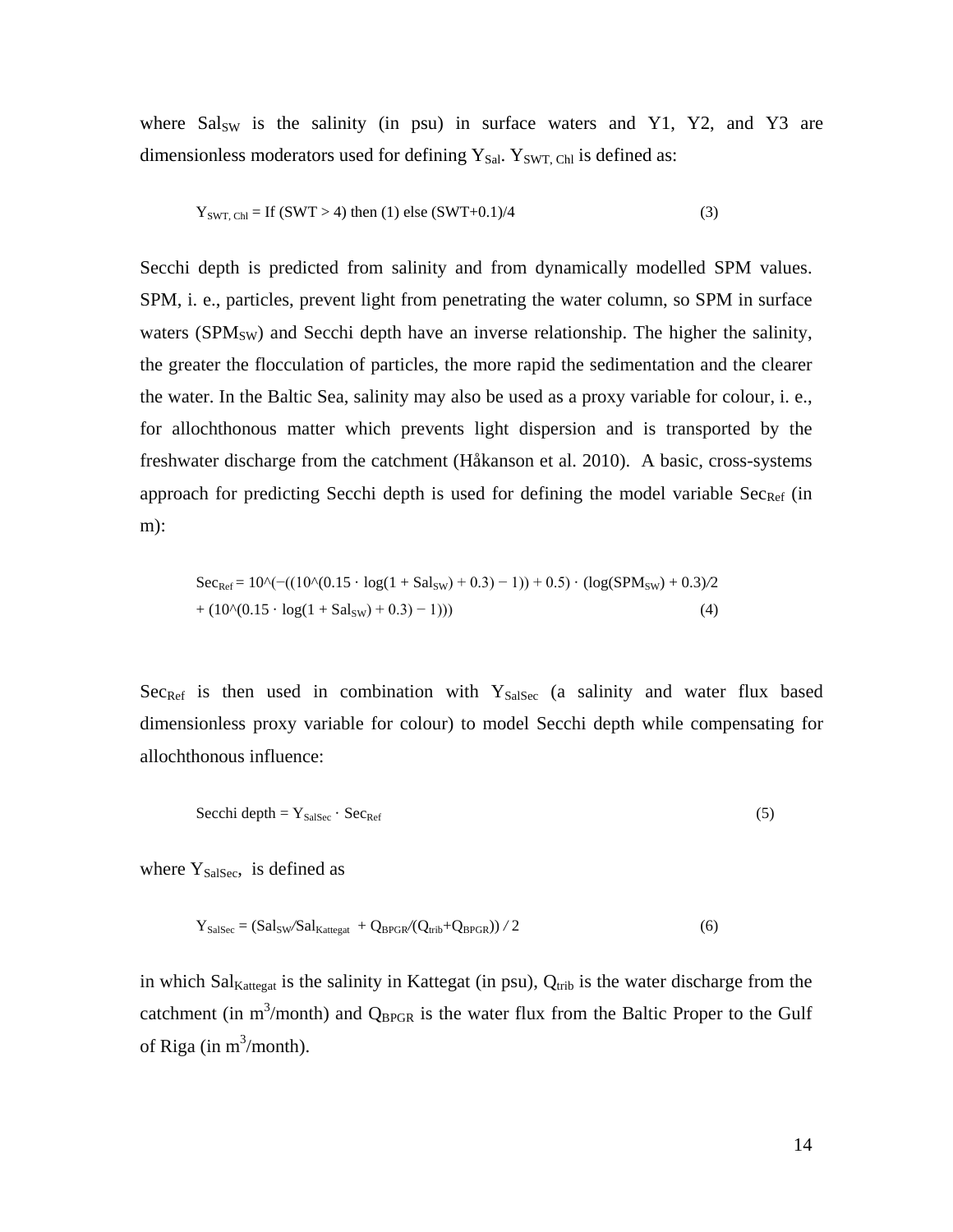where  $Sals_W$  is the salinity (in psu) in surface waters and Y1, Y2, and Y3 are dimensionless moderators used for defining  $Y_{Sal}$ .  $Y_{SWT, Chl}$  is defined as:

$$
Y_{\text{SWT, Ch}} = \text{If (SWT} > 4) \text{ then (1) else (SWT+0.1)/4} \tag{3}
$$

Secchi depth is predicted from salinity and from dynamically modelled SPM values. SPM, i. e., particles, prevent light from penetrating the water column, so SPM in surface waters ( $SPM<sub>SW</sub>$ ) and Secchi depth have an inverse relationship. The higher the salinity, the greater the flocculation of particles, the more rapid the sedimentation and the clearer the water. In the Baltic Sea, salinity may also be used as a proxy variable for colour, i. e., for allochthonous matter which prevents light dispersion and is transported by the freshwater discharge from the catchment (Håkanson et al. 2010). A basic, cross-systems approach for predicting Secchi depth is used for defining the model variable  $Sec_{Ref}$  (in m):

$$
Sec_{Ref} = 10 \cdot (-(10 \cdot (0.15 \cdot \log(1 + Sal_{SW}) + 0.3) - 1)) + 0.5) \cdot (log(SPM_{SW}) + 0.3) / 2 + (10 \cdot (0.15 \cdot \log(1 + Sal_{SW}) + 0.3) - 1)))
$$
(4)

 $Sec<sub>Ref</sub>$  is then used in combination with  $Y<sub>SalSec</sub>$  (a salinity and water flux based dimensionless proxy variable for colour) to model Secchi depth while compensating for allochthonous influence:

$$
\text{Secchi depth} = \mathbf{Y}_{\text{SalSec}} \cdot \text{Sec}_{\text{Ref}} \tag{5}
$$

where  $Y_{\text{SalSec}}$ , is defined as

$$
Y_{\text{SalSec}} = (\text{Sal}_{\text{SW}} / \text{Sal}_{\text{Kattegat}} + Q_{\text{BPGR}} / (Q_{\text{trib}} + Q_{\text{BPGR}})) / 2 \tag{6}
$$

in which Sal<sub>Kattegat</sub> is the salinity in Kattegat (in psu),  $Q_{\text{trib}}$  is the water discharge from the catchment (in  $m^3$ /month) and  $Q_{BPGR}$  is the water flux from the Baltic Proper to the Gulf of Riga (in  $m^3$ /month).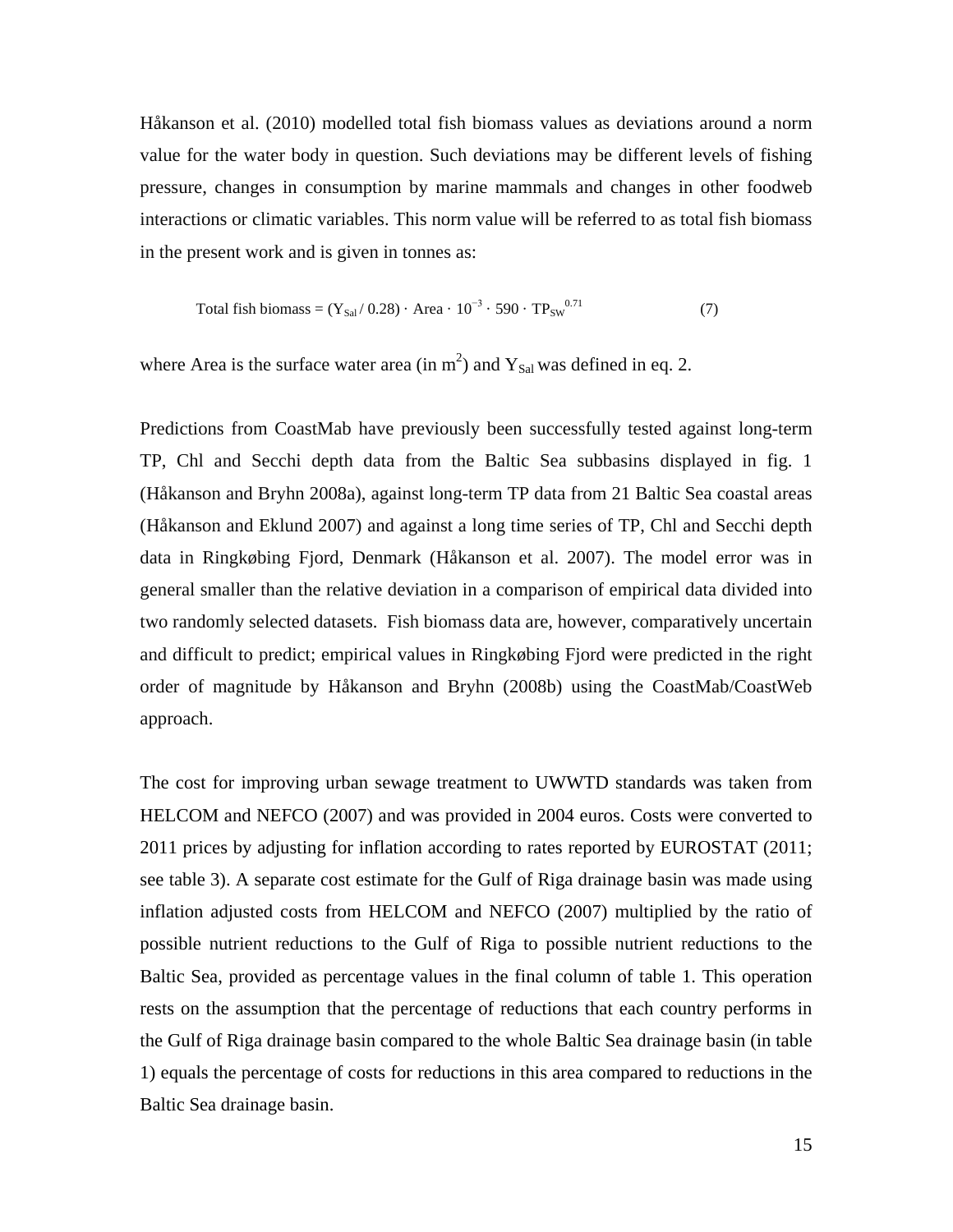Håkanson et al. (2010) modelled total fish biomass values as deviations around a norm value for the water body in question. Such deviations may be different levels of fishing pressure, changes in consumption by marine mammals and changes in other foodweb interactions or climatic variables. This norm value will be referred to as total fish biomass in the present work and is given in tonnes as:

Total fish biomass = 
$$
(Y_{Sal}/ 0.28) \cdot Area \cdot 10^{-3} \cdot 590 \cdot TP_{SW}^{0.71}
$$
 (7)

where Area is the surface water area (in  $m<sup>2</sup>$ ) and  $Y_{Sal}$  was defined in eq. 2.

Predictions from CoastMab have previously been successfully tested against long-term TP, Chl and Secchi depth data from the Baltic Sea subbasins displayed in fig. 1 (Håkanson and Bryhn 2008a), against long-term TP data from 21 Baltic Sea coastal areas (Håkanson and Eklund 2007) and against a long time series of TP, Chl and Secchi depth data in Ringkøbing Fjord, Denmark (Håkanson et al. 2007). The model error was in general smaller than the relative deviation in a comparison of empirical data divided into two randomly selected datasets. Fish biomass data are, however, comparatively uncertain and difficult to predict; empirical values in Ringkøbing Fjord were predicted in the right order of magnitude by Håkanson and Bryhn (2008b) using the CoastMab/CoastWeb approach.

The cost for improving urban sewage treatment to UWWTD standards was taken from HELCOM and NEFCO (2007) and was provided in 2004 euros. Costs were converted to 2011 prices by adjusting for inflation according to rates reported by EUROSTAT (2011; see table 3). A separate cost estimate for the Gulf of Riga drainage basin was made using inflation adjusted costs from HELCOM and NEFCO (2007) multiplied by the ratio of possible nutrient reductions to the Gulf of Riga to possible nutrient reductions to the Baltic Sea, provided as percentage values in the final column of table 1. This operation rests on the assumption that the percentage of reductions that each country performs in the Gulf of Riga drainage basin compared to the whole Baltic Sea drainage basin (in table 1) equals the percentage of costs for reductions in this area compared to reductions in the Baltic Sea drainage basin.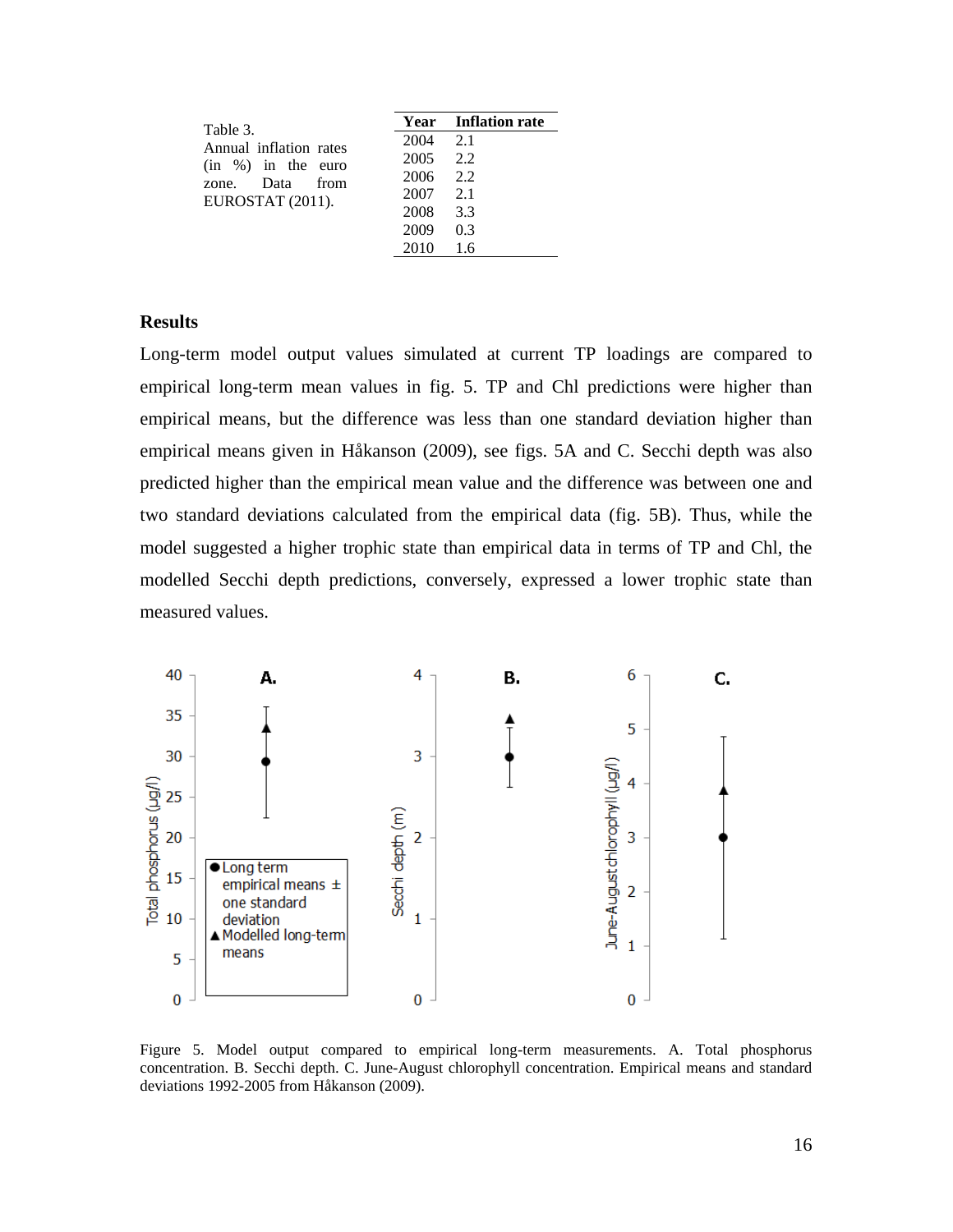| Table 3.               |          | <b>Year</b> Inflation rate |
|------------------------|----------|----------------------------|
| Annual inflation rates | 2004     | -2.1                       |
| $(in \%)$ in the euro  | 2005 2.2 |                            |
| zone. Data from        | 2006     | -2.2                       |
| EUROSTAT (2011).       | 2007     | -2.1                       |
|                        | 2008     | 3.3                        |
|                        | 2009     | 0.3                        |
|                        | 2010     | 16                         |

# **Results**

Long-term model output values simulated at current TP loadings are compared to empirical long-term mean values in fig. 5. TP and Chl predictions were higher than empirical means, but the difference was less than one standard deviation higher than empirical means given in Håkanson (2009), see figs. 5A and C. Secchi depth was also predicted higher than the empirical mean value and the difference was between one and two standard deviations calculated from the empirical data (fig. 5B). Thus, while the model suggested a higher trophic state than empirical data in terms of TP and Chl, the modelled Secchi depth predictions, conversely, expressed a lower trophic state than measured values.



Figure 5. Model output compared to empirical long-term measurements. A. Total phosphorus concentration. B. Secchi depth. C. June-August chlorophyll concentration. Empirical means and standard deviations 1992-2005 from Håkanson (2009).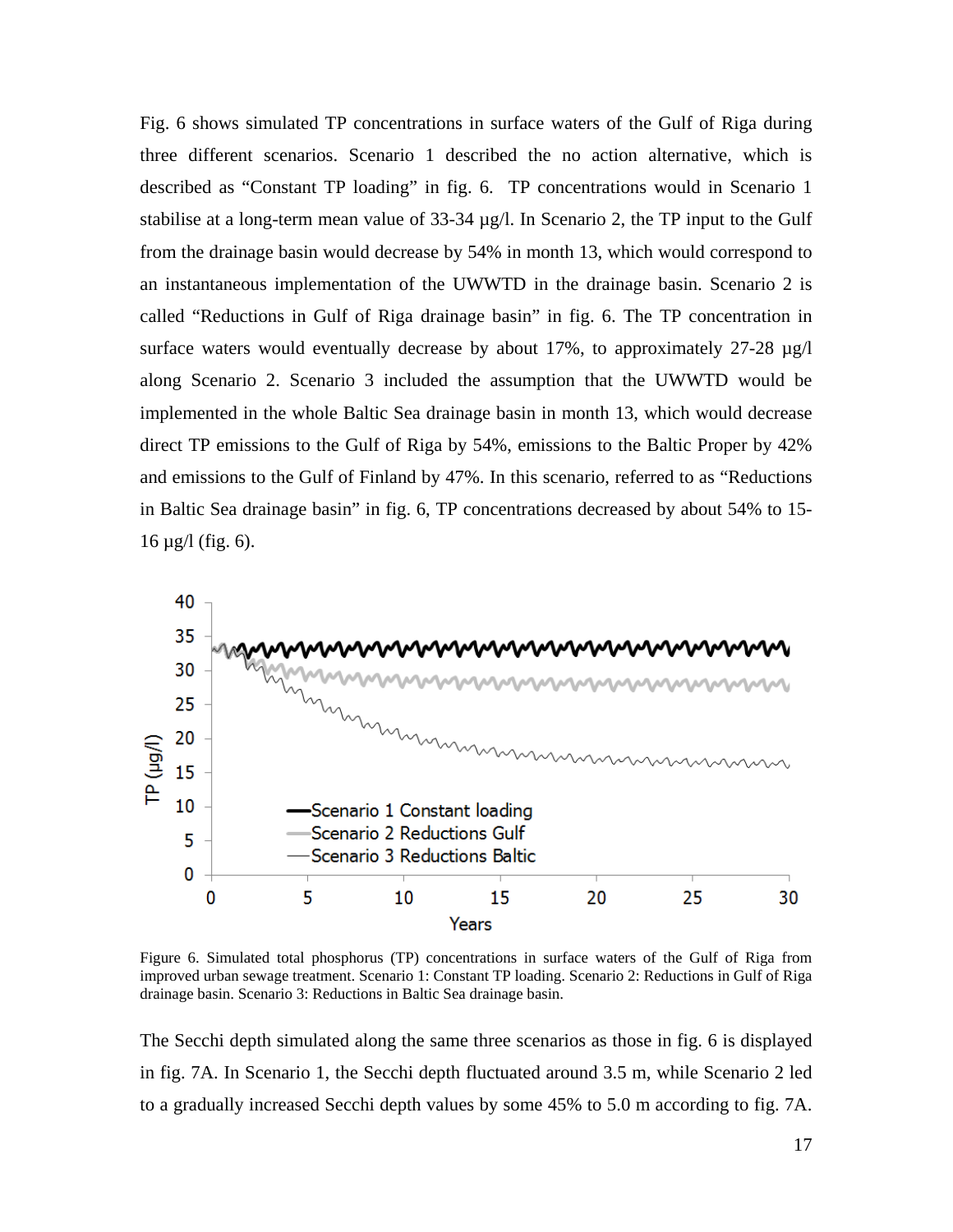Fig. 6 shows simulated TP concentrations in surface waters of the Gulf of Riga during three different scenarios. Scenario 1 described the no action alternative, which is described as "Constant TP loading" in fig. 6. TP concentrations would in Scenario 1 stabilise at a long-term mean value of  $33-34 \mu g/l$ . In Scenario 2, the TP input to the Gulf from the drainage basin would decrease by 54% in month 13, which would correspond to an instantaneous implementation of the UWWTD in the drainage basin. Scenario 2 is called "Reductions in Gulf of Riga drainage basin" in fig. 6. The TP concentration in surface waters would eventually decrease by about 17%, to approximately  $27-28 \mu g/l$ along Scenario 2. Scenario 3 included the assumption that the UWWTD would be implemented in the whole Baltic Sea drainage basin in month 13, which would decrease direct TP emissions to the Gulf of Riga by 54%, emissions to the Baltic Proper by 42% and emissions to the Gulf of Finland by 47%. In this scenario, referred to as "Reductions in Baltic Sea drainage basin" in fig. 6, TP concentrations decreased by about 54% to 15-  $16 \mu g/l$  (fig. 6).



Figure 6. Simulated total phosphorus (TP) concentrations in surface waters of the Gulf of Riga from improved urban sewage treatment. Scenario 1: Constant TP loading. Scenario 2: Reductions in Gulf of Riga drainage basin. Scenario 3: Reductions in Baltic Sea drainage basin.

The Secchi depth simulated along the same three scenarios as those in fig. 6 is displayed in fig. 7A. In Scenario 1, the Secchi depth fluctuated around 3.5 m, while Scenario 2 led to a gradually increased Secchi depth values by some 45% to 5.0 m according to fig. 7A.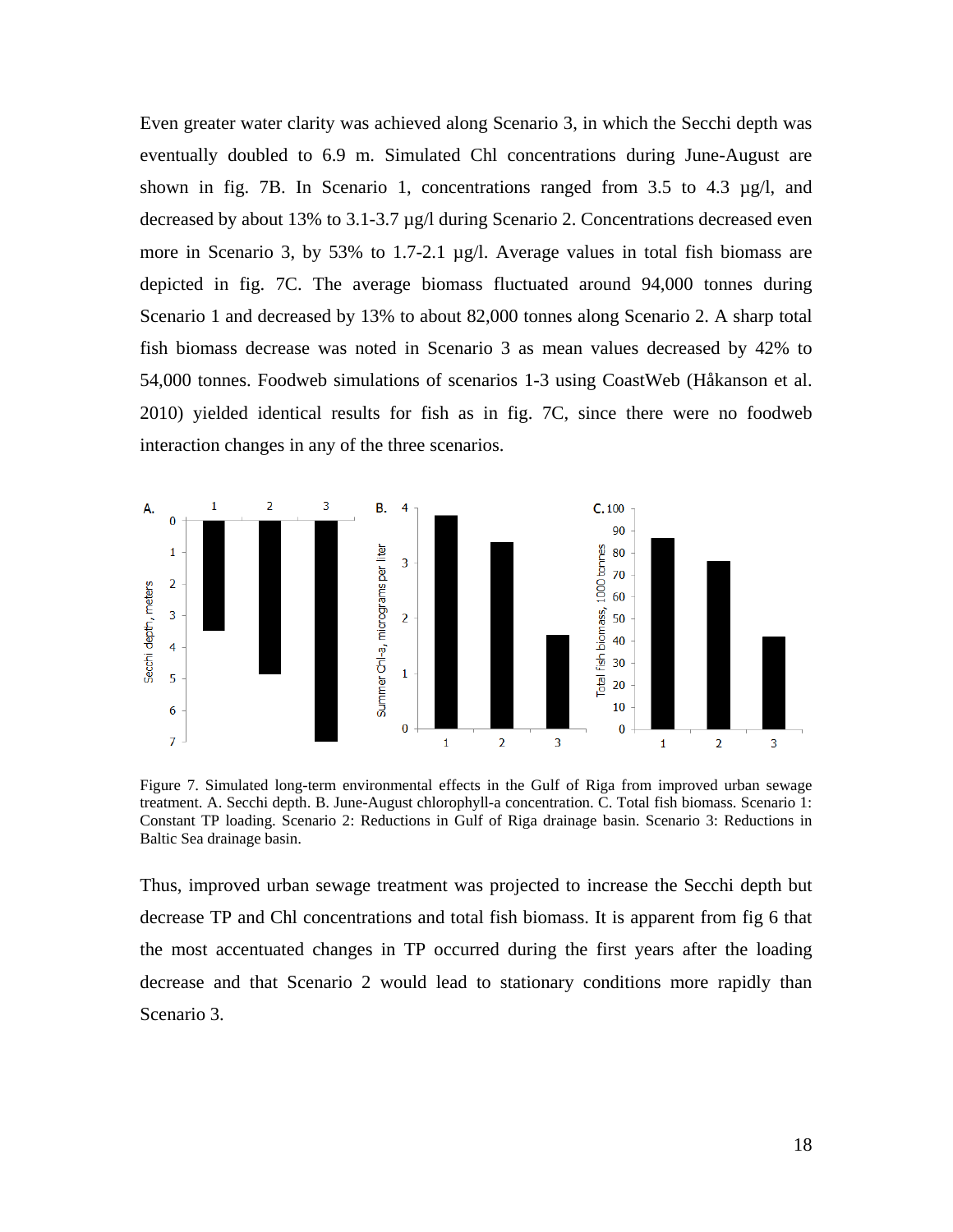Even greater water clarity was achieved along Scenario 3, in which the Secchi depth was eventually doubled to 6.9 m. Simulated Chl concentrations during June-August are shown in fig. 7B. In Scenario 1, concentrations ranged from 3.5 to 4.3 µg/l, and decreased by about 13% to 3.1-3.7 µg/l during Scenario 2. Concentrations decreased even more in Scenario 3, by 53% to 1.7-2.1 µg/l. Average values in total fish biomass are depicted in fig. 7C. The average biomass fluctuated around 94,000 tonnes during Scenario 1 and decreased by 13% to about 82,000 tonnes along Scenario 2. A sharp total fish biomass decrease was noted in Scenario 3 as mean values decreased by 42% to 54,000 tonnes. Foodweb simulations of scenarios 1-3 using CoastWeb (Håkanson et al. 2010) yielded identical results for fish as in fig. 7C, since there were no foodweb interaction changes in any of the three scenarios.



Figure 7. Simulated long-term environmental effects in the Gulf of Riga from improved urban sewage treatment. A. Secchi depth. B. June-August chlorophyll-a concentration. C. Total fish biomass. Scenario 1: Constant TP loading. Scenario 2: Reductions in Gulf of Riga drainage basin. Scenario 3: Reductions in Baltic Sea drainage basin.

Thus, improved urban sewage treatment was projected to increase the Secchi depth but decrease TP and Chl concentrations and total fish biomass. It is apparent from fig 6 that the most accentuated changes in TP occurred during the first years after the loading decrease and that Scenario 2 would lead to stationary conditions more rapidly than Scenario 3.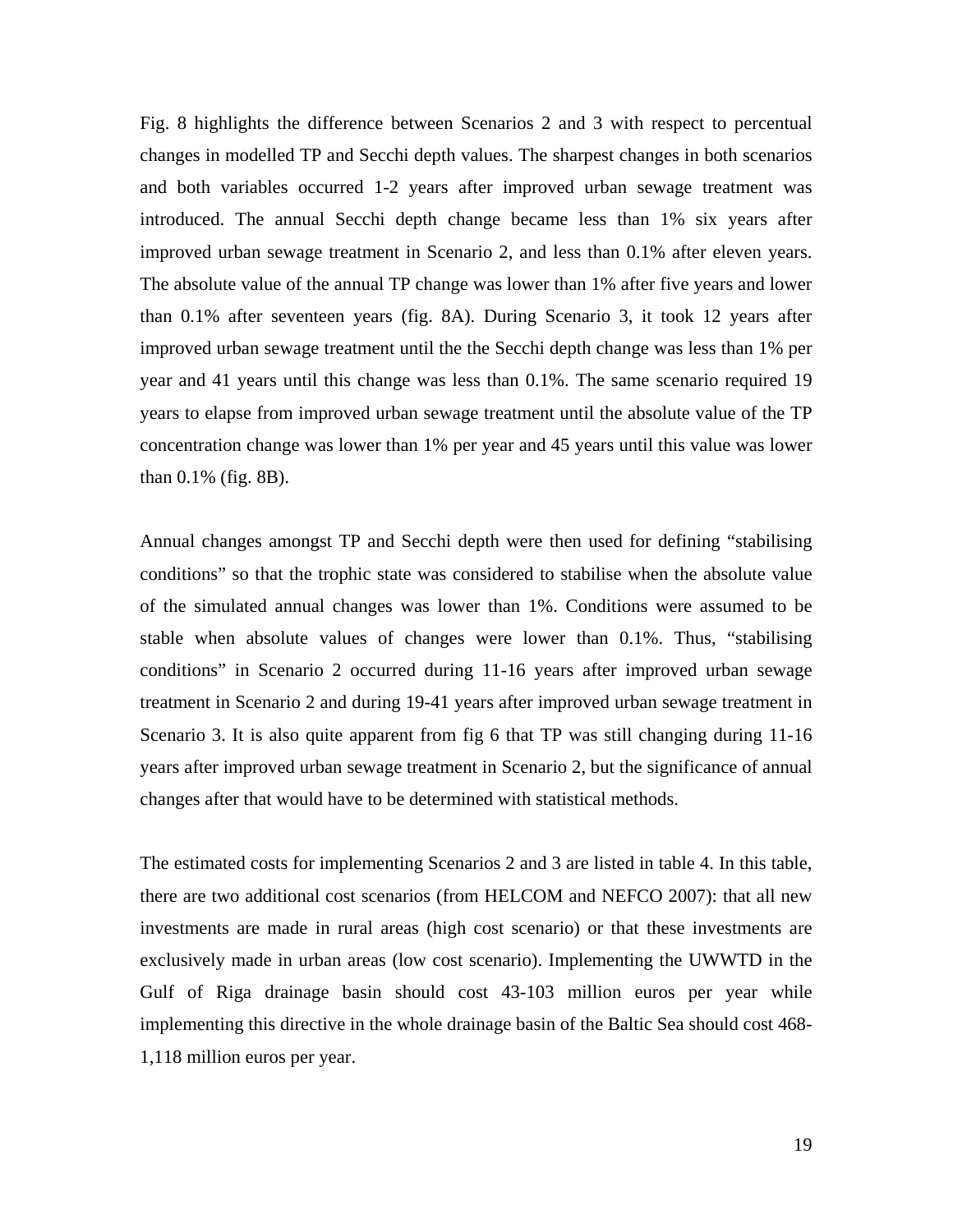Fig. 8 highlights the difference between Scenarios 2 and 3 with respect to percentual changes in modelled TP and Secchi depth values. The sharpest changes in both scenarios and both variables occurred 1-2 years after improved urban sewage treatment was introduced. The annual Secchi depth change became less than 1% six years after improved urban sewage treatment in Scenario 2, and less than 0.1% after eleven years. The absolute value of the annual TP change was lower than 1% after five years and lower than 0.1% after seventeen years (fig. 8A). During Scenario 3, it took 12 years after improved urban sewage treatment until the the Secchi depth change was less than 1% per year and 41 years until this change was less than 0.1%. The same scenario required 19 years to elapse from improved urban sewage treatment until the absolute value of the TP concentration change was lower than 1% per year and 45 years until this value was lower than 0.1% (fig. 8B).

Annual changes amongst TP and Secchi depth were then used for defining "stabilising conditions" so that the trophic state was considered to stabilise when the absolute value of the simulated annual changes was lower than 1%. Conditions were assumed to be stable when absolute values of changes were lower than 0.1%. Thus, "stabilising conditions" in Scenario 2 occurred during 11-16 years after improved urban sewage treatment in Scenario 2 and during 19-41 years after improved urban sewage treatment in Scenario 3. It is also quite apparent from fig 6 that TP was still changing during 11-16 years after improved urban sewage treatment in Scenario 2, but the significance of annual changes after that would have to be determined with statistical methods.

The estimated costs for implementing Scenarios 2 and 3 are listed in table 4. In this table, there are two additional cost scenarios (from HELCOM and NEFCO 2007): that all new investments are made in rural areas (high cost scenario) or that these investments are exclusively made in urban areas (low cost scenario). Implementing the UWWTD in the Gulf of Riga drainage basin should cost 43-103 million euros per year while implementing this directive in the whole drainage basin of the Baltic Sea should cost 468- 1,118 million euros per year.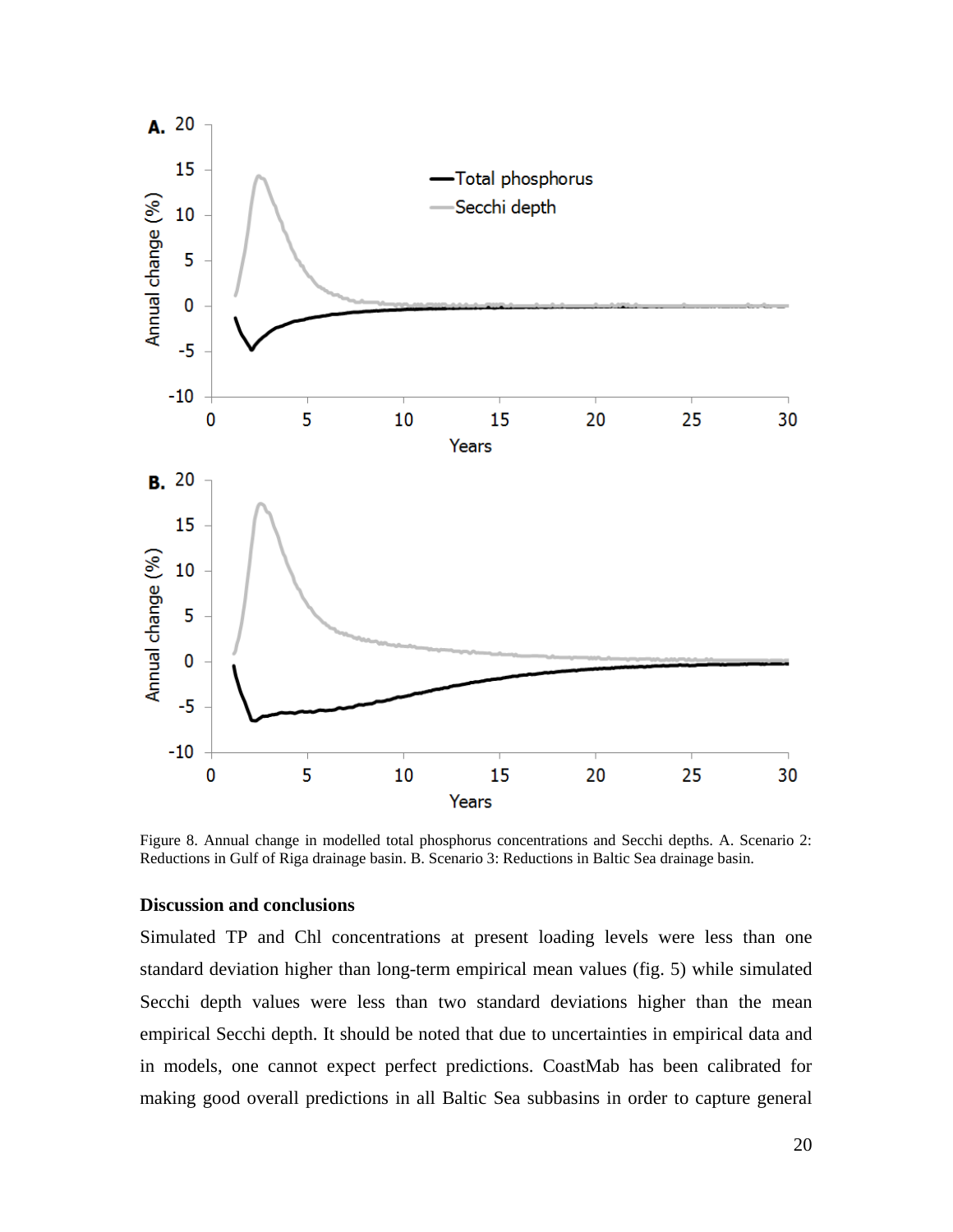

Figure 8. Annual change in modelled total phosphorus concentrations and Secchi depths. A. Scenario 2: Reductions in Gulf of Riga drainage basin. B. Scenario 3: Reductions in Baltic Sea drainage basin.

### **Discussion and conclusions**

Simulated TP and Chl concentrations at present loading levels were less than one standard deviation higher than long-term empirical mean values (fig. 5) while simulated Secchi depth values were less than two standard deviations higher than the mean empirical Secchi depth. It should be noted that due to uncertainties in empirical data and in models, one cannot expect perfect predictions. CoastMab has been calibrated for making good overall predictions in all Baltic Sea subbasins in order to capture general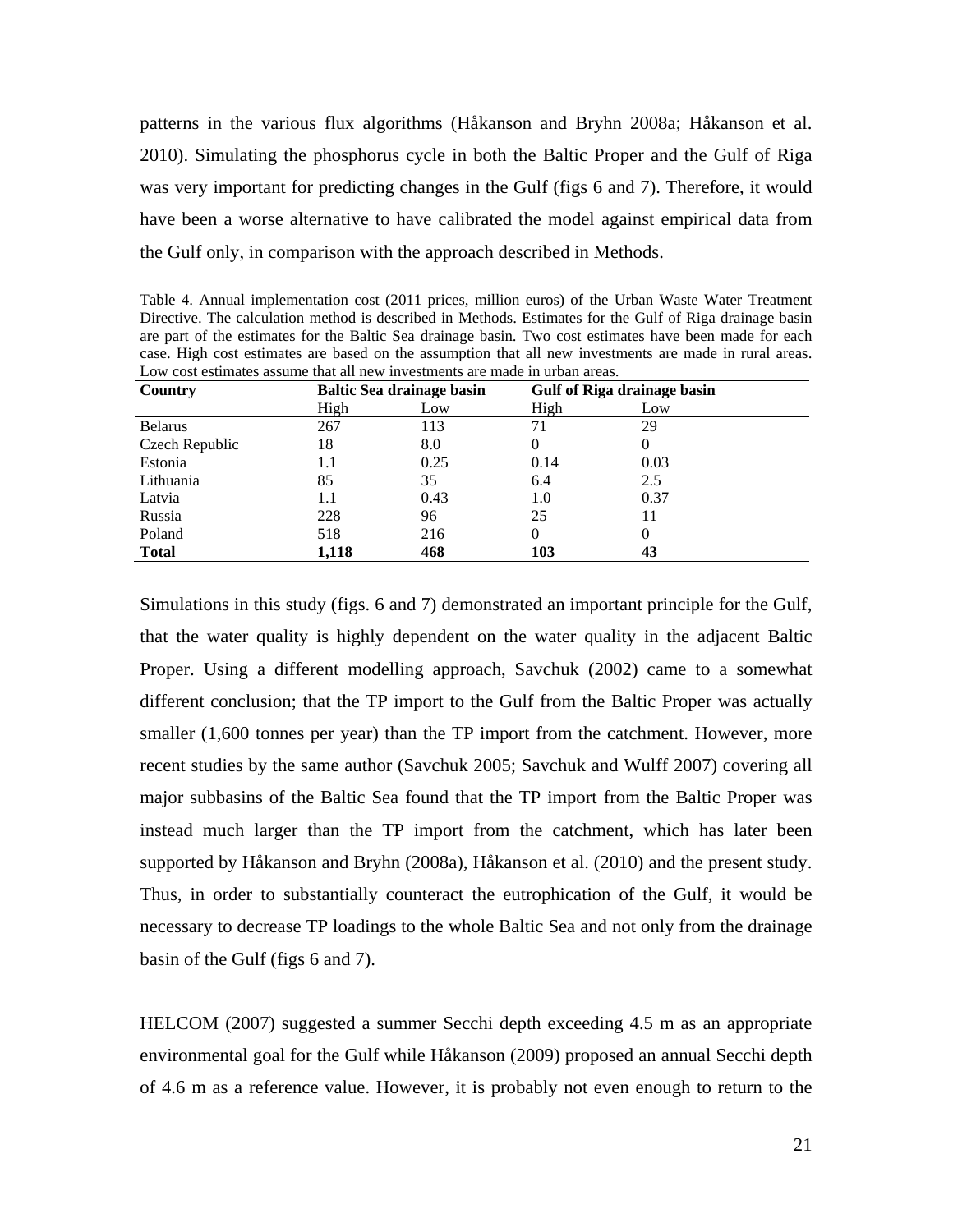patterns in the various flux algorithms (Håkanson and Bryhn 2008a; Håkanson et al. 2010). Simulating the phosphorus cycle in both the Baltic Proper and the Gulf of Riga was very important for predicting changes in the Gulf (figs 6 and 7). Therefore, it would have been a worse alternative to have calibrated the model against empirical data from the Gulf only, in comparison with the approach described in Methods.

Table 4. Annual implementation cost (2011 prices, million euros) of the Urban Waste Water Treatment Directive. The calculation method is described in Methods. Estimates for the Gulf of Riga drainage basin are part of the estimates for the Baltic Sea drainage basin. Two cost estimates have been made for each case. High cost estimates are based on the assumption that all new investments are made in rural areas. Low cost estimates assume that all new investments are made in urban areas.

| Country        | <b>Baltic Sea drainage basin</b> |      | Gulf of Riga drainage basin |      |
|----------------|----------------------------------|------|-----------------------------|------|
|                | High                             | Low  | High                        | Low  |
| <b>Belarus</b> | 267                              | 113  | 71                          | 29   |
| Czech Republic | 18                               | 8.0  | 0                           | 0    |
| Estonia        | 1.1                              | 0.25 | 0.14                        | 0.03 |
| Lithuania      | 85                               | 35   | 6.4                         | 2.5  |
| Latvia         | 1.1                              | 0.43 | 1.0                         | 0.37 |
| Russia         | 228                              | 96   | 25                          | 11   |
| Poland         | 518                              | 216  | 0                           | 0    |
| <b>Total</b>   | 1,118                            | 468  | 103                         | 43   |

Simulations in this study (figs. 6 and 7) demonstrated an important principle for the Gulf, that the water quality is highly dependent on the water quality in the adjacent Baltic Proper. Using a different modelling approach, Savchuk (2002) came to a somewhat different conclusion; that the TP import to the Gulf from the Baltic Proper was actually smaller (1,600 tonnes per year) than the TP import from the catchment. However, more recent studies by the same author (Savchuk 2005; Savchuk and Wulff 2007) covering all major subbasins of the Baltic Sea found that the TP import from the Baltic Proper was instead much larger than the TP import from the catchment, which has later been supported by Håkanson and Bryhn (2008a), Håkanson et al. (2010) and the present study. Thus, in order to substantially counteract the eutrophication of the Gulf, it would be necessary to decrease TP loadings to the whole Baltic Sea and not only from the drainage basin of the Gulf (figs 6 and 7).

HELCOM (2007) suggested a summer Secchi depth exceeding 4.5 m as an appropriate environmental goal for the Gulf while Håkanson (2009) proposed an annual Secchi depth of 4.6 m as a reference value. However, it is probably not even enough to return to the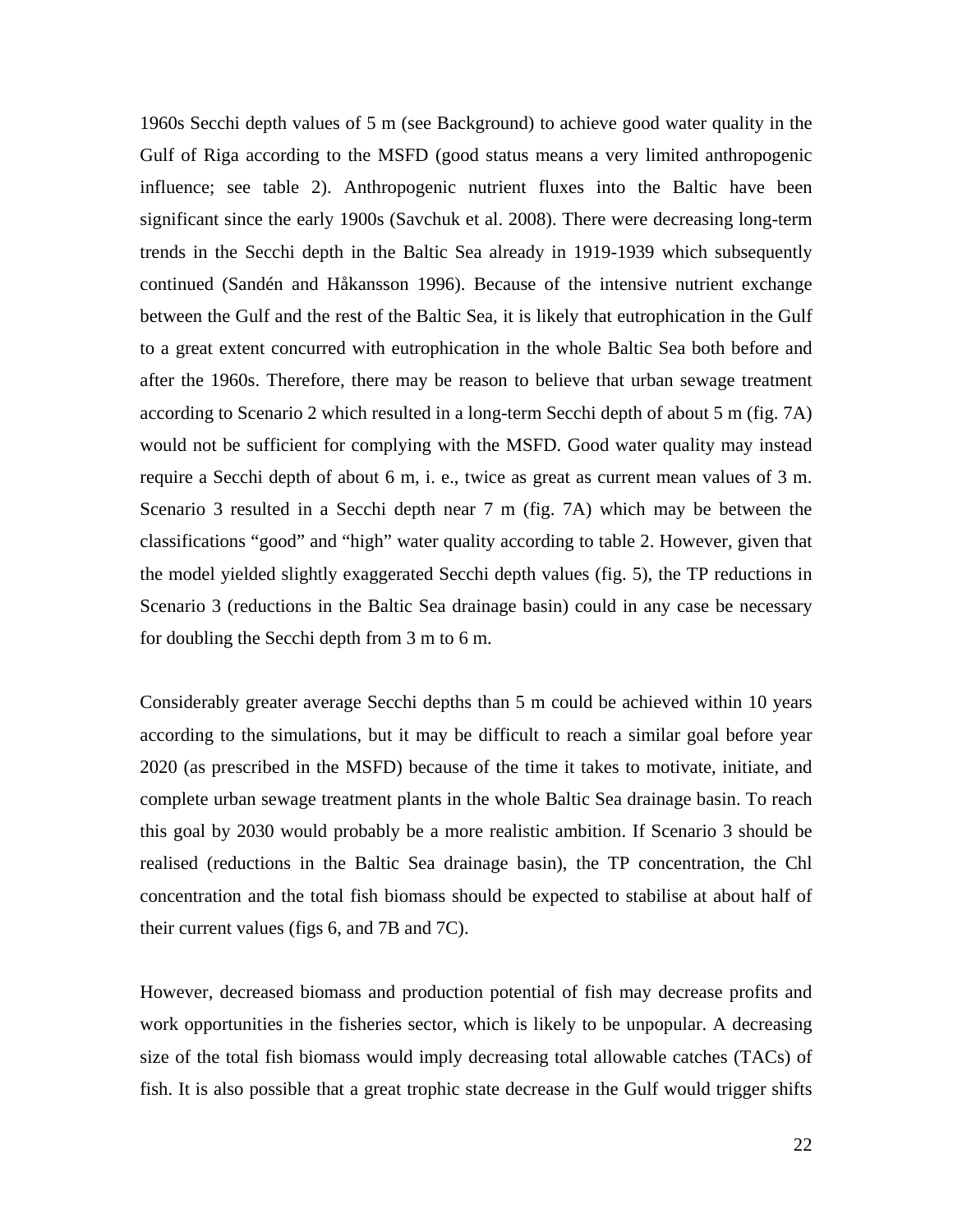1960s Secchi depth values of 5 m (see Background) to achieve good water quality in the Gulf of Riga according to the MSFD (good status means a very limited anthropogenic influence; see table 2). Anthropogenic nutrient fluxes into the Baltic have been significant since the early 1900s (Savchuk et al. 2008). There were decreasing long-term trends in the Secchi depth in the Baltic Sea already in 1919-1939 which subsequently continued (Sandén and Håkansson 1996). Because of the intensive nutrient exchange between the Gulf and the rest of the Baltic Sea, it is likely that eutrophication in the Gulf to a great extent concurred with eutrophication in the whole Baltic Sea both before and after the 1960s. Therefore, there may be reason to believe that urban sewage treatment according to Scenario 2 which resulted in a long-term Secchi depth of about 5 m (fig. 7A) would not be sufficient for complying with the MSFD. Good water quality may instead require a Secchi depth of about 6 m, i. e., twice as great as current mean values of 3 m. Scenario 3 resulted in a Secchi depth near 7 m (fig. 7A) which may be between the classifications "good" and "high" water quality according to table 2. However, given that the model yielded slightly exaggerated Secchi depth values (fig. 5), the TP reductions in Scenario 3 (reductions in the Baltic Sea drainage basin) could in any case be necessary for doubling the Secchi depth from 3 m to 6 m.

Considerably greater average Secchi depths than 5 m could be achieved within 10 years according to the simulations, but it may be difficult to reach a similar goal before year 2020 (as prescribed in the MSFD) because of the time it takes to motivate, initiate, and complete urban sewage treatment plants in the whole Baltic Sea drainage basin. To reach this goal by 2030 would probably be a more realistic ambition. If Scenario 3 should be realised (reductions in the Baltic Sea drainage basin), the TP concentration, the Chl concentration and the total fish biomass should be expected to stabilise at about half of their current values (figs 6, and 7B and 7C).

However, decreased biomass and production potential of fish may decrease profits and work opportunities in the fisheries sector, which is likely to be unpopular. A decreasing size of the total fish biomass would imply decreasing total allowable catches (TACs) of fish. It is also possible that a great trophic state decrease in the Gulf would trigger shifts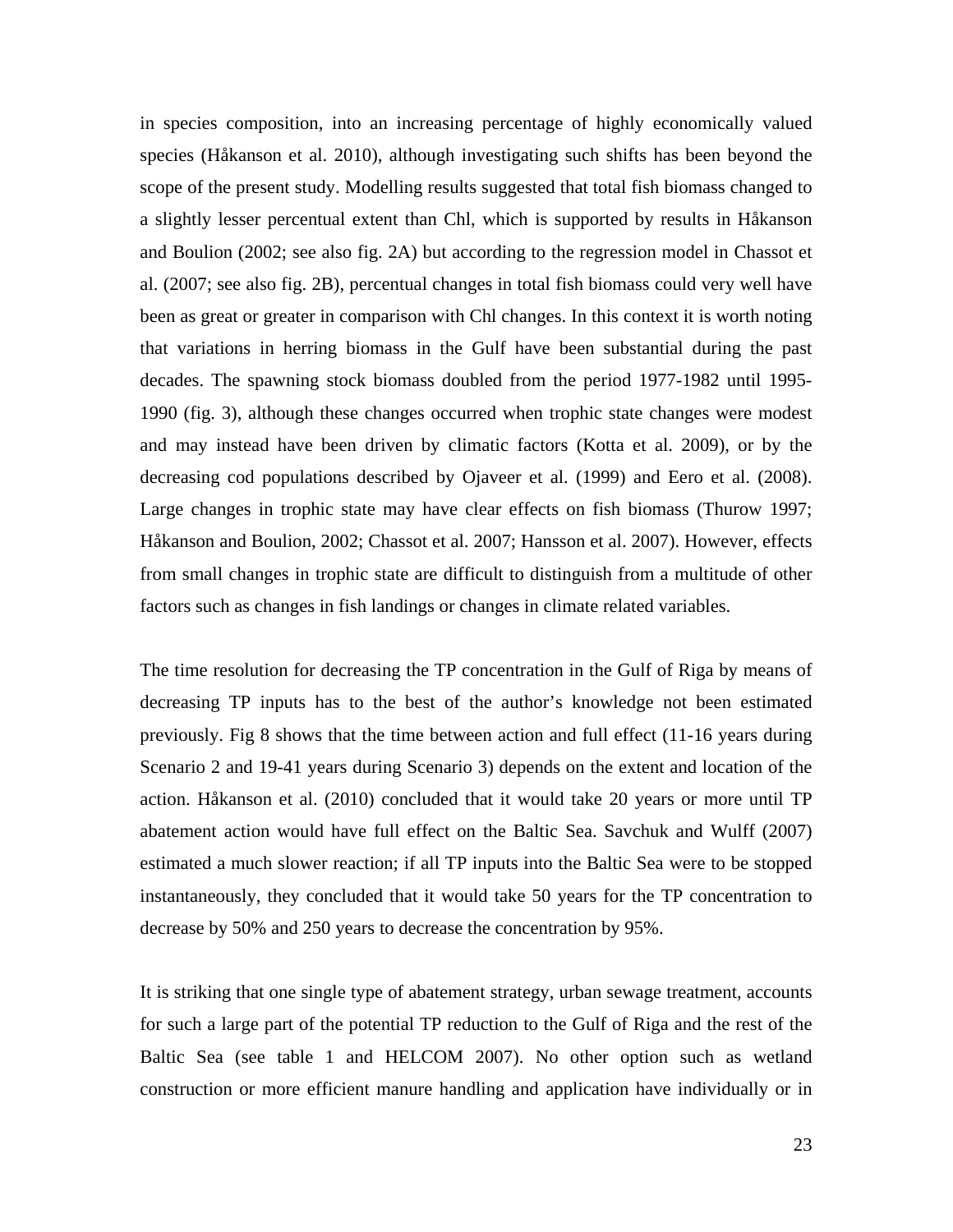in species composition, into an increasing percentage of highly economically valued species (Håkanson et al. 2010), although investigating such shifts has been beyond the scope of the present study. Modelling results suggested that total fish biomass changed to a slightly lesser percentual extent than Chl, which is supported by results in Håkanson and Boulion (2002; see also fig. 2A) but according to the regression model in Chassot et al. (2007; see also fig. 2B), percentual changes in total fish biomass could very well have been as great or greater in comparison with Chl changes. In this context it is worth noting that variations in herring biomass in the Gulf have been substantial during the past decades. The spawning stock biomass doubled from the period 1977-1982 until 1995- 1990 (fig. 3), although these changes occurred when trophic state changes were modest and may instead have been driven by climatic factors (Kotta et al. 2009), or by the decreasing cod populations described by Ojaveer et al. (1999) and Eero et al. (2008). Large changes in trophic state may have clear effects on fish biomass (Thurow 1997; Håkanson and Boulion, 2002; Chassot et al. 2007; Hansson et al. 2007). However, effects from small changes in trophic state are difficult to distinguish from a multitude of other factors such as changes in fish landings or changes in climate related variables.

The time resolution for decreasing the TP concentration in the Gulf of Riga by means of decreasing TP inputs has to the best of the author's knowledge not been estimated previously. Fig 8 shows that the time between action and full effect (11-16 years during Scenario 2 and 19-41 years during Scenario 3) depends on the extent and location of the action. Håkanson et al. (2010) concluded that it would take 20 years or more until TP abatement action would have full effect on the Baltic Sea. Savchuk and Wulff (2007) estimated a much slower reaction; if all TP inputs into the Baltic Sea were to be stopped instantaneously, they concluded that it would take 50 years for the TP concentration to decrease by 50% and 250 years to decrease the concentration by 95%.

It is striking that one single type of abatement strategy, urban sewage treatment, accounts for such a large part of the potential TP reduction to the Gulf of Riga and the rest of the Baltic Sea (see table 1 and HELCOM 2007). No other option such as wetland construction or more efficient manure handling and application have individually or in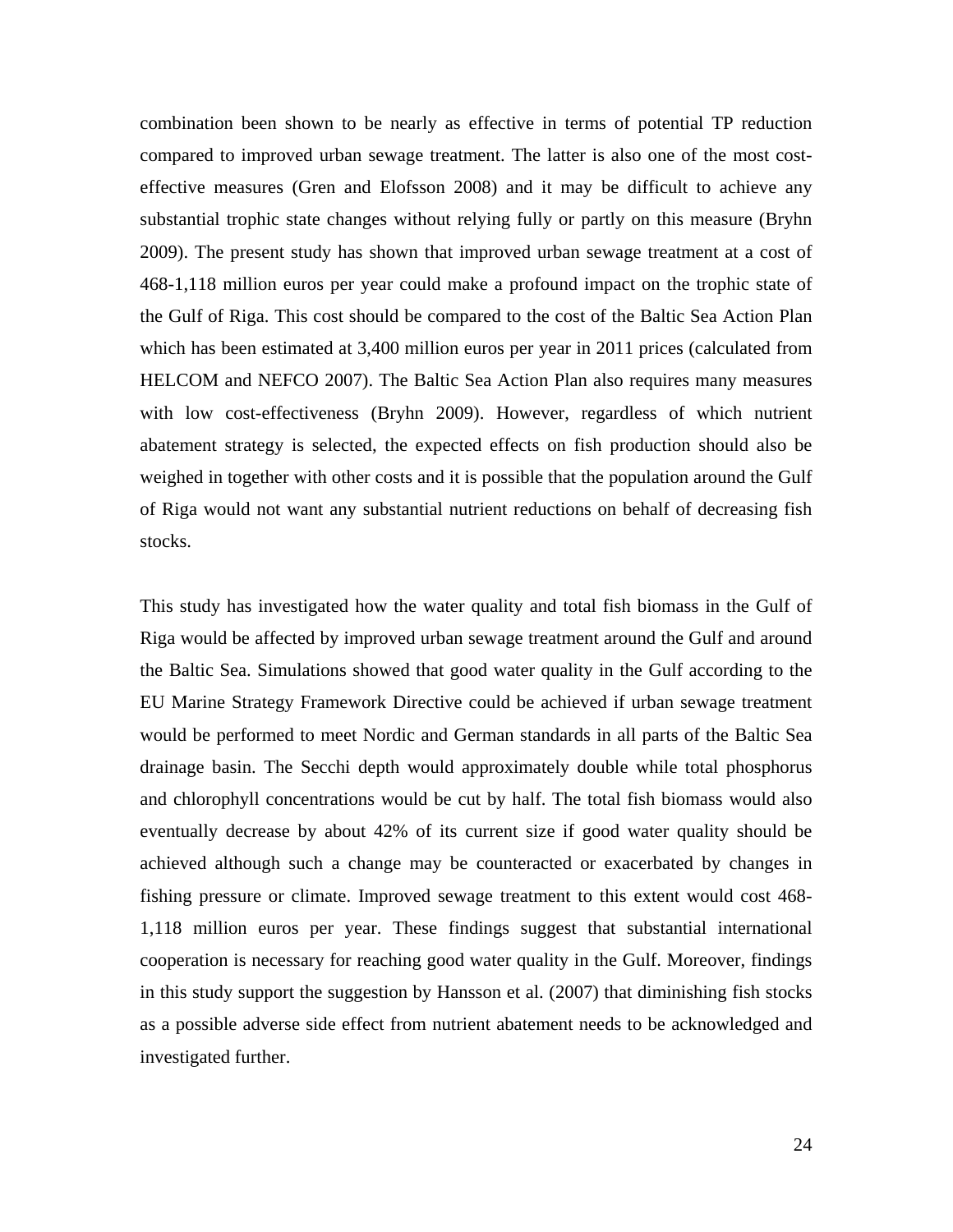combination been shown to be nearly as effective in terms of potential TP reduction compared to improved urban sewage treatment. The latter is also one of the most costeffective measures (Gren and Elofsson 2008) and it may be difficult to achieve any substantial trophic state changes without relying fully or partly on this measure (Bryhn 2009). The present study has shown that improved urban sewage treatment at a cost of 468-1,118 million euros per year could make a profound impact on the trophic state of the Gulf of Riga. This cost should be compared to the cost of the Baltic Sea Action Plan which has been estimated at 3,400 million euros per year in 2011 prices (calculated from HELCOM and NEFCO 2007). The Baltic Sea Action Plan also requires many measures with low cost-effectiveness (Bryhn 2009). However, regardless of which nutrient abatement strategy is selected, the expected effects on fish production should also be weighed in together with other costs and it is possible that the population around the Gulf of Riga would not want any substantial nutrient reductions on behalf of decreasing fish stocks.

This study has investigated how the water quality and total fish biomass in the Gulf of Riga would be affected by improved urban sewage treatment around the Gulf and around the Baltic Sea. Simulations showed that good water quality in the Gulf according to the EU Marine Strategy Framework Directive could be achieved if urban sewage treatment would be performed to meet Nordic and German standards in all parts of the Baltic Sea drainage basin. The Secchi depth would approximately double while total phosphorus and chlorophyll concentrations would be cut by half. The total fish biomass would also eventually decrease by about 42% of its current size if good water quality should be achieved although such a change may be counteracted or exacerbated by changes in fishing pressure or climate. Improved sewage treatment to this extent would cost 468- 1,118 million euros per year. These findings suggest that substantial international cooperation is necessary for reaching good water quality in the Gulf. Moreover, findings in this study support the suggestion by Hansson et al. (2007) that diminishing fish stocks as a possible adverse side effect from nutrient abatement needs to be acknowledged and investigated further.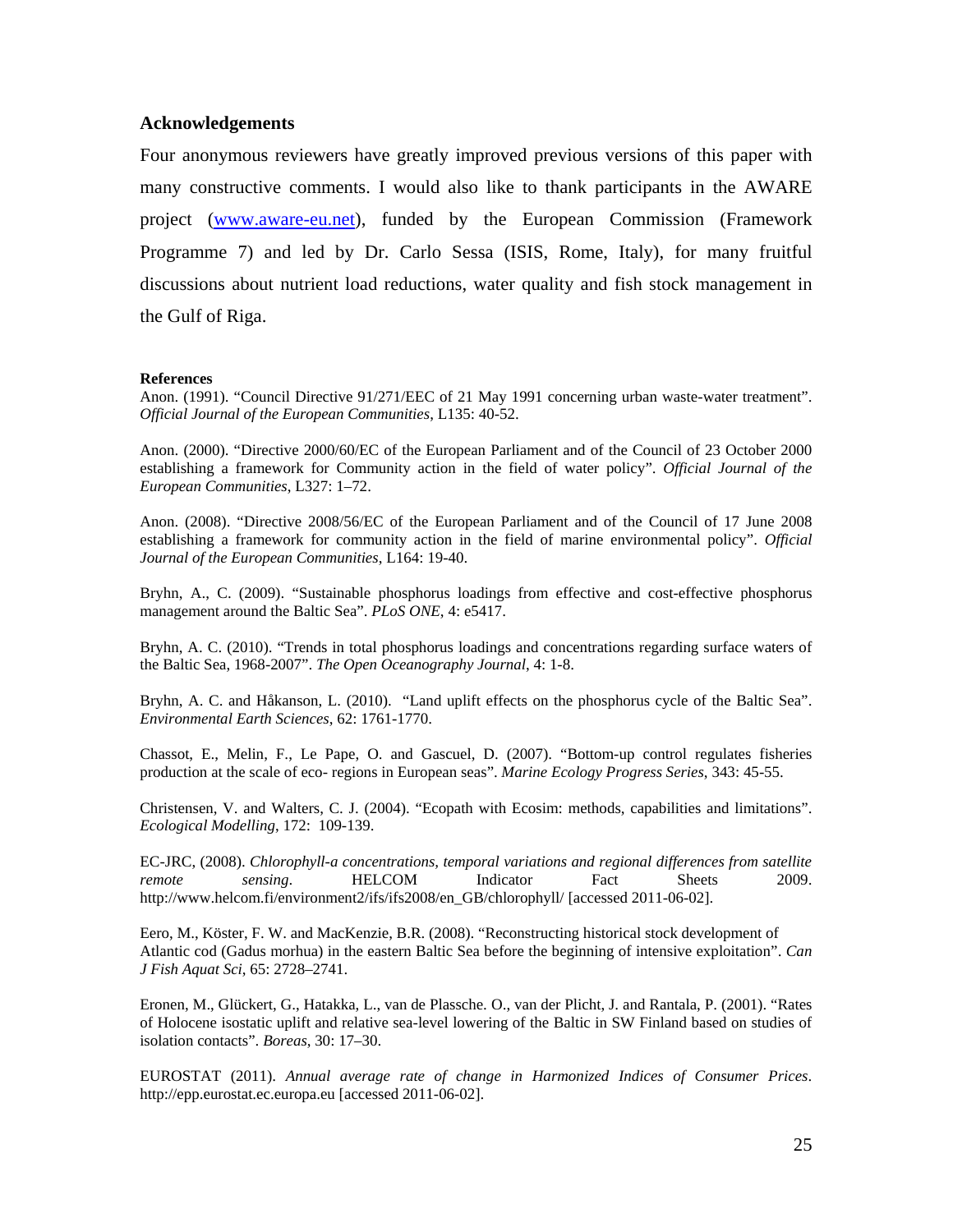## **Acknowledgements**

Four anonymous reviewers have greatly improved previous versions of this paper with many constructive comments. I would also like to thank participants in the AWARE project [\(www.aware-eu.net\)](http://www.aware-eu.net/), funded by the European Commission (Framework Programme 7) and led by Dr. Carlo Sessa (ISIS, Rome, Italy), for many fruitful discussions about nutrient load reductions, water quality and fish stock management in the Gulf of Riga.

#### **References**

Anon. (1991). "Council Directive 91/271/EEC of 21 May 1991 concerning urban waste-water treatment". *Official Journal of the European Communities*, L135: 40-52.

Anon. (2000). "Directive 2000/60/EC of the European Parliament and of the Council of 23 October 2000 establishing a framework for Community action in the field of water policy". *Official Journal of the European Communities*, L327: 1–72.

Anon. (2008). "Directive 2008/56/EC of the European Parliament and of the Council of 17 June 2008 establishing a framework for community action in the field of marine environmental policy". *Official Journal of the European Communities*, L164: 19-40.

Bryhn, A., C. (2009). "Sustainable phosphorus loadings from effective and cost-effective phosphorus management around the Baltic Sea". *PLoS ONE*, 4: e5417.

Bryhn, A. C. (2010). "Trends in total phosphorus loadings and concentrations regarding surface waters of the Baltic Sea, 1968-2007". *The Open Oceanography Journal*, 4: 1-8.

Bryhn, A. C. and Håkanson, L. (2010). "Land uplift effects on the phosphorus cycle of the Baltic Sea". *Environmental Earth Sciences*, 62: 1761-1770.

Chassot, E., Melin, F., Le Pape, O. and Gascuel, D. (2007). "Bottom-up control regulates fisheries production at the scale of eco- regions in European seas". *Marine Ecology Progress Series*, 343: 45-55.

Christensen, V. and Walters, C. J. (2004). "Ecopath with Ecosim: methods, capabilities and limitations". *Ecological Modelling*, 172: 109-139.

EC-JRC, (2008). *Chlorophyll-a concentrations, temporal variations and regional differences from satellite remote sensing*. HELCOM Indicator Fact Sheets 2009. http://www.helcom.fi/environment2/ifs/ifs2008/en\_GB/chlorophyll/ [accessed 2011-06-02].

Eero, M., Köster, F. W. and MacKenzie, B.R. (2008). "Reconstructing historical stock development of Atlantic cod (Gadus morhua) in the eastern Baltic Sea before the beginning of intensive exploitation". *Can J Fish Aquat Sci*, 65: 2728–2741.

Eronen, M., Glückert, G., Hatakka, L., van de Plassche. O., van der Plicht, J. and Rantala, P. (2001). "Rates of Holocene isostatic uplift and relative sea-level lowering of the Baltic in SW Finland based on studies of isolation contacts". *Boreas*, 30: 17–30.

EUROSTAT (2011). *Annual average rate of change in Harmonized Indices of Consumer Prices*. http://epp.eurostat.ec.europa.eu [accessed 2011-06-02].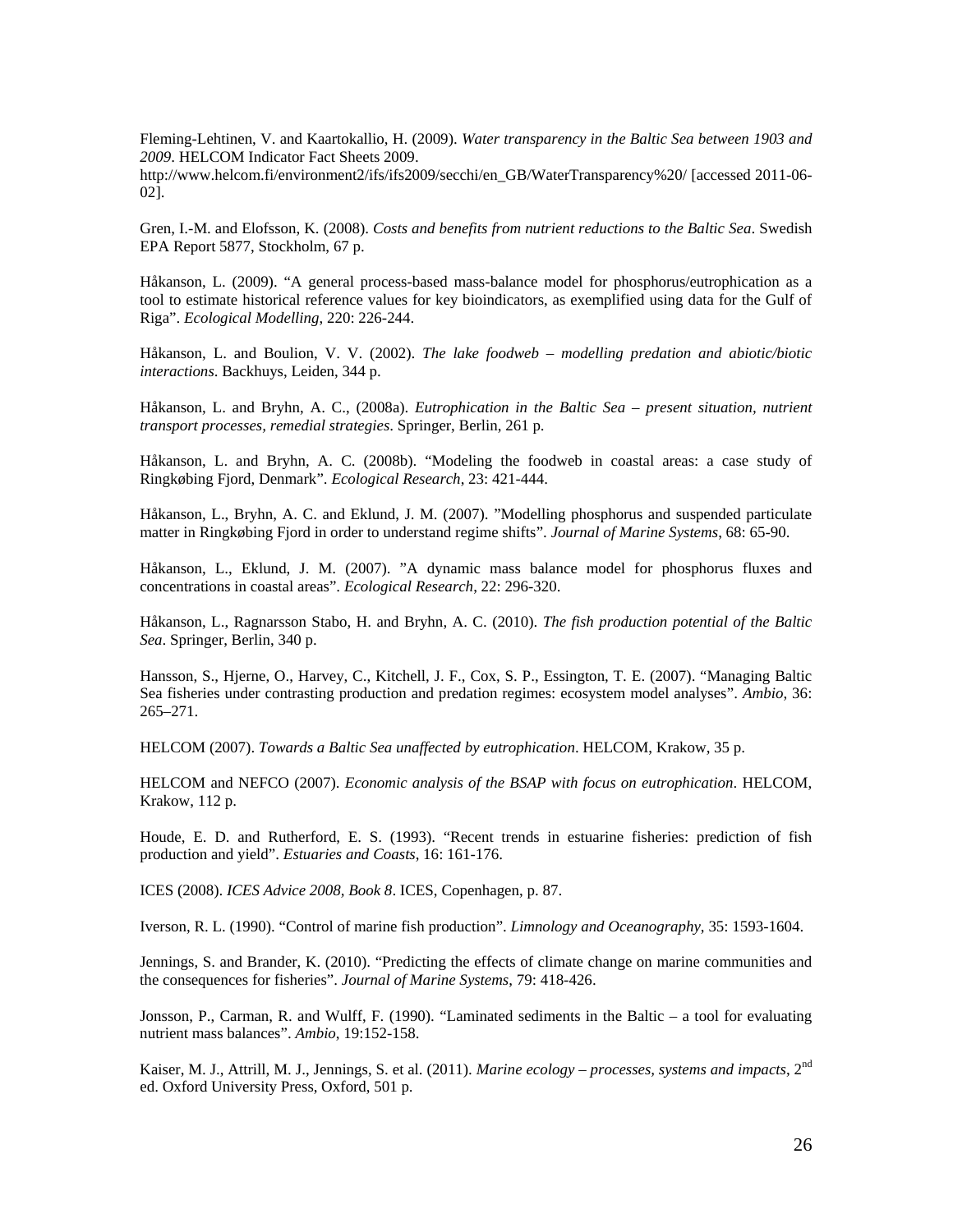Fleming-Lehtinen, V. and Kaartokallio, H. (2009). *Water transparency in the Baltic Sea between 1903 and 2009*. HELCOM Indicator Fact Sheets 2009.

http://www.helcom.fi/environment2/ifs/ifs2009/secchi/en\_GB/WaterTransparency%20/ [accessed 2011-06-02].

Gren, I.-M. and Elofsson, K. (2008). *Costs and benefits from nutrient reductions to the Baltic Sea*. Swedish EPA Report 5877, Stockholm, 67 p.

Håkanson, L. (2009). "A general process-based mass-balance model for phosphorus/eutrophication as a tool to estimate historical reference values for key bioindicators, as exemplified using data for the Gulf of Riga". *Ecological Modelling*, 220: 226-244.

Håkanson, L. and Boulion, V. V. (2002). *The lake foodweb – modelling predation and abiotic/biotic interactions*. Backhuys, Leiden, 344 p.

Håkanson, L. and Bryhn, A. C., (2008a). *Eutrophication in the Baltic Sea – present situation, nutrient transport processes, remedial strategies*. Springer, Berlin, 261 p.

Håkanson, L. and Bryhn, A. C. (2008b). "Modeling the foodweb in coastal areas: a case study of Ringkøbing Fjord, Denmark". *Ecological Research*, 23: 421-444.

Håkanson, L., Bryhn, A. C. and Eklund, J. M. (2007). "Modelling phosphorus and suspended particulate matter in Ringkøbing Fjord in order to understand regime shifts". *Journal of Marine Systems*, 68: 65-90.

Håkanson, L., Eklund, J. M. (2007). "A dynamic mass balance model for phosphorus fluxes and concentrations in coastal areas". *Ecological Research*, 22: 296-320.

Håkanson, L., Ragnarsson Stabo, H. and Bryhn, A. C. (2010). *The fish production potential of the Baltic Sea*. Springer, Berlin, 340 p.

Hansson, S., Hjerne, O., Harvey, C., Kitchell, J. F., Cox, S. P., Essington, T. E. (2007). "Managing Baltic Sea fisheries under contrasting production and predation regimes: ecosystem model analyses". *Ambio*, 36: 265–271.

HELCOM (2007). *Towards a Baltic Sea unaffected by eutrophication*. HELCOM, Krakow, 35 p.

HELCOM and NEFCO (2007). *Economic analysis of the BSAP with focus on eutrophication*. HELCOM, Krakow, 112 p.

Houde, E. D. and Rutherford, E. S. (1993). "Recent trends in estuarine fisheries: prediction of fish production and yield". *Estuaries and Coasts*, 16: 161-176.

ICES (2008). *ICES Advice 2008, Book 8*. ICES, Copenhagen, p. 87.

Iverson, R. L. (1990). "Control of marine fish production". *Limnology and Oceanography*, 35: 1593-1604.

Jennings, S. and Brander, K. (2010). "Predicting the effects of climate change on marine communities and the consequences for fisheries". *Journal of Marine Systems*, 79: 418-426.

Jonsson, P., Carman, R. and Wulff, F. (1990). "Laminated sediments in the Baltic – a tool for evaluating nutrient mass balances". *Ambio*, 19:152-158.

Kaiser, M. J., Attrill, M. J., Jennings, S. et al. (2011). *Marine ecology – processes, systems and impacts*, 2nd ed. Oxford University Press, Oxford, 501 p.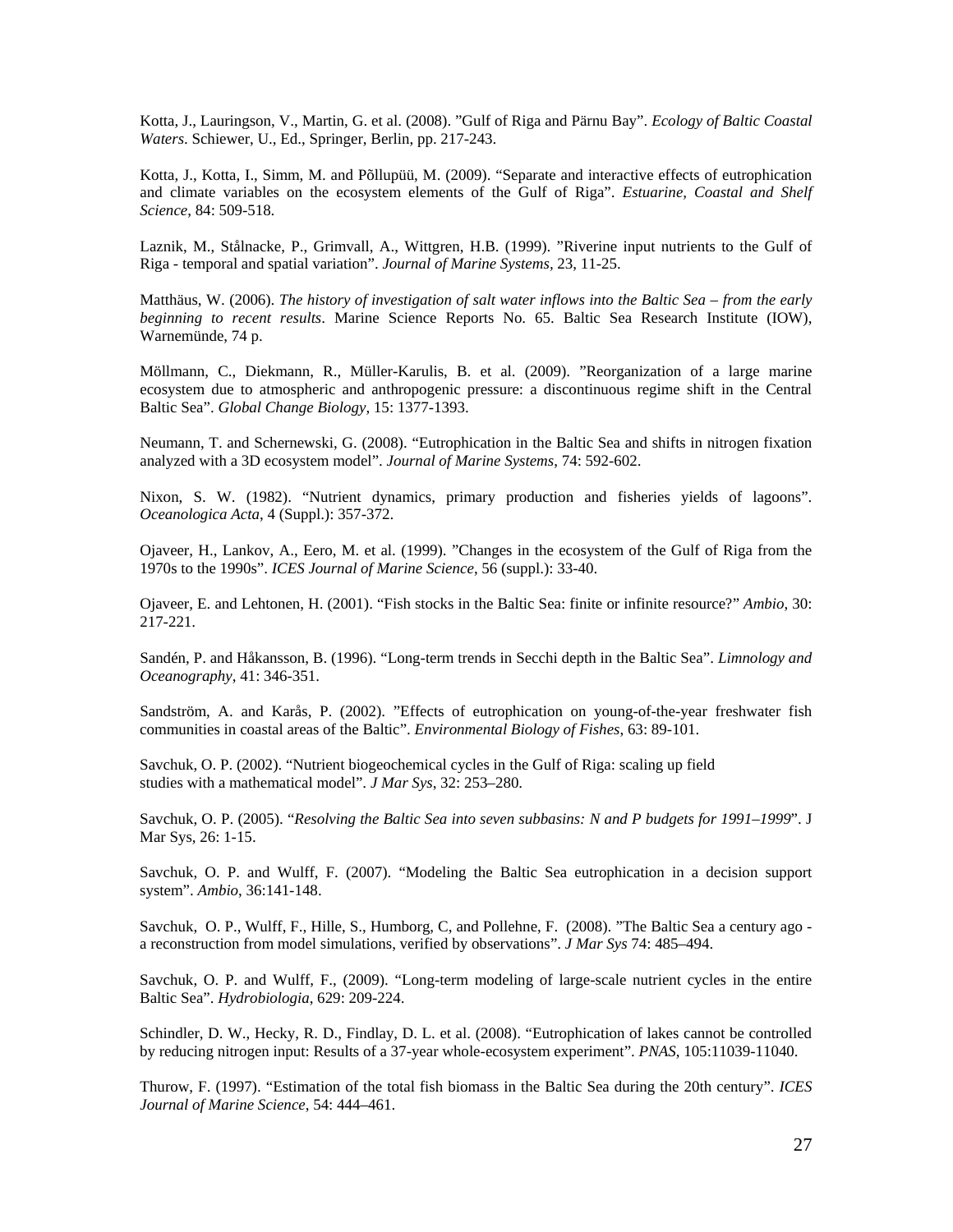Kotta, J., Lauringson, V., Martin, G. et al. (2008). "Gulf of Riga and Pärnu Bay". *Ecology of Baltic Coastal Waters*. Schiewer, U., Ed., Springer, Berlin, pp. 217-243.

Kotta, J., Kotta, I., Simm, M. and Põllupüü, M. (2009). "Separate and interactive effects of eutrophication and climate variables on the ecosystem elements of the Gulf of Riga". *Estuarine, Coastal and Shelf Science*, 84: 509-518.

Laznik, M., Stålnacke, P., Grimvall, A., Wittgren, H.B. (1999). "Riverine input nutrients to the Gulf of Riga - temporal and spatial variation". *Journal of Marine Systems,* 23, 11-25.

Matthäus, W. (2006). *The history of investigation of salt water inflows into the Baltic Sea – from the early beginning to recent results*. Marine Science Reports No. 65. Baltic Sea Research Institute (IOW), Warnemünde, 74 p.

Möllmann, C., Diekmann, R., Müller-Karulis, B. et al. (2009). "Reorganization of a large marine ecosystem due to atmospheric and anthropogenic pressure: a discontinuous regime shift in the Central Baltic Sea". *Global Change Biology*, 15: 1377-1393.

Neumann, T. and Schernewski, G. (2008). "Eutrophication in the Baltic Sea and shifts in nitrogen fixation analyzed with a 3D ecosystem model". *Journal of Marine Systems*, 74: 592-602.

Nixon, S. W. (1982). "Nutrient dynamics, primary production and fisheries yields of lagoons". *Oceanologica Acta*, 4 (Suppl.): 357-372.

Ojaveer, H., Lankov, A., Eero, M. et al. (1999). "Changes in the ecosystem of the Gulf of Riga from the 1970s to the 1990s". *ICES Journal of Marine Science*, 56 (suppl.): 33-40.

Ojaveer, E. and Lehtonen, H. (2001). "Fish stocks in the Baltic Sea: finite or infinite resource?" *Ambio*, 30: 217-221.

Sandén, P. and Håkansson, B. (1996). "Long-term trends in Secchi depth in the Baltic Sea". *Limnology and Oceanography*, 41: 346-351.

Sandström, A. and Karås, P. (2002). "Effects of eutrophication on young-of-the-year freshwater fish communities in coastal areas of the Baltic". *Environmental Biology of Fishes*, 63: 89-101.

Savchuk, O. P. (2002). "Nutrient biogeochemical cycles in the Gulf of Riga: scaling up field studies with a mathematical model". *J Mar Sys*, 32: 253–280.

Savchuk, O. P. (2005). "*Resolving the Baltic Sea into seven subbasins: N and P budgets for 1991–1999*". J Mar Sys, 26: 1-15.

Savchuk, O. P. and Wulff, F. (2007). "Modeling the Baltic Sea eutrophication in a decision support system". *Ambio*, 36:141-148.

Savchuk, O. P., Wulff, F., Hille, S., Humborg, C, and Pollehne, F. (2008). "The Baltic Sea a century ago a reconstruction from model simulations, verified by observations". *J Mar Sys* 74: 485–494.

Savchuk, O. P. and Wulff, F., (2009). "Long-term modeling of large-scale nutrient cycles in the entire Baltic Sea". *Hydrobiologia*, 629: 209-224.

Schindler, D. W., Hecky, R. D., Findlay, D. L. et al. (2008). "Eutrophication of lakes cannot be controlled by reducing nitrogen input: Results of a 37-year whole-ecosystem experiment". *PNAS*, 105:11039-11040.

Thurow, F. (1997). "Estimation of the total fish biomass in the Baltic Sea during the 20th century". *ICES Journal of Marine Science*, 54: 444–461.